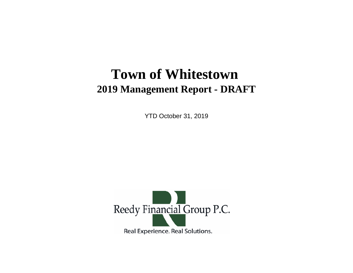# **Town of Whitestown 2019 Management Report - DRAFT**

YTD October 31, 2019

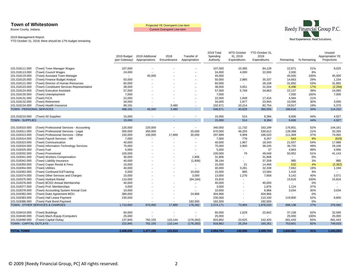Boone County, Indiana

Current Overspent Line-item



#### 2019 Management Report

|                                  |                                                             |                              |                                   |                          |                              | 2019 Total            | MTD October              | YTD October 31,          |                           |             | Unused                          |
|----------------------------------|-------------------------------------------------------------|------------------------------|-----------------------------------|--------------------------|------------------------------|-----------------------|--------------------------|--------------------------|---------------------------|-------------|---------------------------------|
|                                  |                                                             | 2019 Budget<br>(per Gateway) | 2019 Additional<br>Appropriations | 2018<br>Encumbrance      | Transfer of<br>Appropriation | Spending<br>Authority | 31, 2019<br>Expenditures | 2019<br>Expenditures     | Remaining                 | % Remaining | Appropriation YE<br>Projections |
|                                  |                                                             |                              |                                   |                          |                              |                       |                          |                          |                           |             |                                 |
| 101.018111.000                   | (Town) Town Manager Wages                                   | 107,000                      |                                   |                          |                              | 107,000               | 10,385                   | 84,129                   | 22,871                    | 21%         | 9,025                           |
| 101.018113.000                   | (Town) Council Wages                                        | 24,000                       | $\overline{\phantom{a}}$          |                          |                              | 24,000                | 4,000                    | 22,000                   | 2,000                     | 8%          |                                 |
| 101.018119.000                   | (Town) Assistant Town Manager                               | $\sim$                       | 45,000                            |                          |                              | 45,000                | $\blacksquare$           |                          | 45,000                    | 100%        | 45,000                          |
| 101.018120.000                   | (Town) Finance Budget Analyst                               | 50,000                       |                                   |                          |                              | 50,000                | 2,885                    | 35,337                   | 14,663                    | 29%         | 1,154                           |
| 101.018121.000                   | (Town) Director of Human Resources                          | 60,000                       |                                   |                          |                              | 60,000                | $\sim$                   | 28,108                   | 31,892                    | 53%         | 31,892                          |
| 101.018123.000                   | (Town) Constituent Services Representative                  | 38,000                       |                                   |                          |                              | 38,000                | 3,651                    | 31,504                   | 6,496                     | 17%         | (2, 268)                        |
| 101.018124.000                   | (Town) Executive Assistant                                  | 57,000                       |                                   |                          |                              | 57,000                | 5,769                    | 34,863                   | 22,137                    | 39%         | 14,060                          |
| 101.018130.000                   | (Town) Unemployment                                         | 7,000                        |                                   |                          |                              | 7,000                 |                          |                          | 7,000                     | 100%        | 7,000                           |
| 101.018131.000                   | (Town) FICA                                                 | 22,000                       |                                   |                          |                              | 22,000                | 1,949                    | 17,416                   | 4,584                     | 21%         |                                 |
| 101.018132.000                   | (Town) Retirement                                           | 34,000                       |                                   |                          |                              | 34,000                | 1,977                    | 23,944                   | 10,056                    | 30%         | 3,000                           |
| 101.018134.000                   | (Town) Health Insurance                                     | 99,191                       |                                   | 3,480                    | $\blacksquare$               | 102,671               | 10,214                   | 82,754                   | 19,917                    | 19%         | 5,370                           |
| <b>TOWN - PERSONAL SERVICES</b>  |                                                             | 498.191                      | 45.000                            | 3.480                    |                              | 546,671               | 40,828                   | 360,055                  | 186,616                   | 34%         | 114,232                         |
|                                  |                                                             |                              |                                   |                          |                              |                       |                          |                          |                           |             |                                 |
| 101.018210.000                   | (Town) All Supplies                                         | 15,000                       |                                   |                          | $\blacksquare$               | 15,000                | 514                      | 8,394                    | 6,606                     | 44%         | 4,927                           |
| <b>TOWN - SUPPLIES</b>           |                                                             | 15,000                       | ÷                                 |                          | $\sim$                       | 15,000                | 514                      | 8,394                    | 6,606                     | 44%         | 4,927                           |
| 101.018310.000                   | (Town) Professional Services - Accounting                   | 120,000                      | 220,000                           |                          |                              | 340,000               | 11,732                   | 163,199                  | 176,801                   | 52%         | 144,161                         |
| 101.018311.000                   | (Town) Professional Services - Legal                        | 300,000                      | 350,000                           | $\overline{\phantom{a}}$ | 20,000                       | 670,000               | 46,255                   | 530,612                  | 139,388                   | 21%         | 33,265                          |
| 101.018313.000                   | (Town) Professional Services - Other                        | 150,000                      | 100,000                           | 17,889                   | 30,000                       | 297,889               | 4,909                    | 186,520                  | 111,369                   | 37%         | 74,065                          |
| 101.018314.000                   | (Town) Payroll Services - HR                                | 7,000                        |                                   |                          |                              | 7,000                 | 778                      | 6,357                    | 643                       | 9%          | (629)                           |
| 101.018323.000                   | (Town) Communication                                        | 40,000                       |                                   |                          | $\blacksquare$               | 40,000                | 1,967                    | 18,343                   | 21,657                    | 54%         | 17,988                          |
| 101.018324.000                   | (Town) Information Technology Services                      | 75,000                       |                                   |                          |                              | 75,000                | 2,800                    | 38,245                   | 36,755                    | 49%         | 29,106                          |
| 101.018325.000                   | (Town) Fuel                                                 | 5,000                        |                                   |                          |                              | 5,000                 | $\blacksquare$           | 37                       | 4,963                     | 99%         | 4,956                           |
| 101.018332.000                   | (Town) Promotional                                          | 100,000                      |                                   |                          |                              | 100,000               | 79                       | 49,048                   | 50,952                    | 51%         | 41,143                          |
| 101.018341.000                   | (Town) Workers Compensation                                 | 30,000                       |                                   |                          | 1,806                        | 31,806                | $\blacksquare$           | 31,806                   |                           | 0%          |                                 |
| 101.018342.000                   | (Town) Liability Insurance                                  | 40,000                       |                                   |                          | (1,806)                      | 38,194                |                          | 37,209                   | 985                       | 3%          | 985                             |
| 101.018350.000                   | (Town) Copier Rental & Fees                                 | 15,000                       |                                   |                          |                              | 15,000                | 21                       | 14,468                   | 532                       | 4%          | (2, 362)                        |
| 101.018354.000                   | (Town) Utilities                                            | 40,000                       |                                   |                          |                              | 40,000                | 3,281                    | 32,338                   | 7,662                     | 19%         | 1,194                           |
| 101.018362.000                   | (Town) Continued Ed/Training                                | 5,000                        |                                   |                          | 10,000                       | 15,000                | 895                      | 13,584                   | 1,416                     | 9%          |                                 |
|                                  |                                                             |                              |                                   |                          | 3,000                        | 13,000                | 1,276                    | 7,858                    | 5,142                     | 40%         | 3,571                           |
| 101.018374.000<br>101.018375.000 | (Town) Other Services and Charges<br>(Town) Hydrant Rental  | 10,000<br>110,000            |                                   |                          |                              | 15,816                | $\blacksquare$           | $\overline{\phantom{a}}$ |                           | 100%        |                                 |
|                                  |                                                             |                              |                                   |                          | (94, 184)<br>$\overline{a}$  | 40,000                | $\blacksquare$           | 40,000                   | 15,816<br>$\sim$          | 0%          | 15,816<br>$\sim$                |
| 101.018376.000<br>101.018377.000 | (Town) BCED Annual Membership                               | 40,000                       |                                   |                          | $\overline{\phantom{a}}$     | 3,000                 | $\blacksquare$           |                          |                           | 37%         |                                 |
|                                  | (Town) Prof. Memberships                                    | 3,000<br>10,000              |                                   |                          |                              | 10,000                |                          | 1,876<br>6.966           | 1,124<br>3,034            | 30%         | 3,034                           |
| 101.018378.000                   | (Town) Accounting System Annual Cost                        |                              |                                   |                          |                              |                       |                          |                          | $\overline{a}$            |             |                                 |
| 101.018382.000<br>101.018383.000 | (Town) Duke Agreement MOU                                   | 380,000                      |                                   |                          | 24,966                       | 404,966               |                          | 404,966                  |                           | 0%<br>52%   | 9,800                           |
| 101.018386.000                   | (Town) Hall Lease Payment                                   | 230,000<br>$\overline{a}$    |                                   |                          | 182,500                      | 230,000<br>182,500    | $\blacksquare$           | 110,100                  | 119,900<br>$\overline{a}$ | 0%          |                                 |
|                                  | (Town) Park Bond Payment<br>TOWN - OTHER SERVICES & CHARGES | 1,710,000                    | 670,000                           | 17,889                   | 176,282                      | 2,574,171             | 73,994                   | 182,500<br>1,876,033     | 698,138                   | 27%         | 376,092                         |
|                                  |                                                             |                              |                                   |                          |                              |                       |                          |                          |                           |             |                                 |
| 101.018410.000                   | (Town) Buildings                                            | 60,000                       |                                   |                          |                              | 60,000                | 1,629                    | 22,842                   | 37,158                    | 62%         | 32,590                          |
| 101.018440.000                   | (Town) Mach./Equip./Computers                               | 25,000                       | $\sim$                            |                          |                              | 25,000                | $\overline{\phantom{a}}$ |                          | 25,000                    | 100%        | 25,000                          |
| 101.018490.000                   | (Town) Capital Outlay                                       | 137,845                      | 762,155                           | 110,144                  | (176, 282)                   | 833,862               | 23,625                   | 142,420                  | 691,443                   | 83%         | 691,443                         |
| TOWN - CAPITAL OUTLAYS           |                                                             | 222,845                      | 762,155                           | 110,144                  | (176, 282)                   | 918,862               | 25,254                   | 165,261                  | 753,601                   | 82%         | 749,033                         |
| <b>TOTAL TOWN</b>                |                                                             | 2,446,036                    | 1,477,155                         | 131,513                  | $\sim$                       | 4,054,704             | 140,590                  | 2,409,744                | 1,644,961                 | 41%         | 1,244,284                       |
|                                  |                                                             |                              |                                   |                          |                              |                       |                          |                          |                           |             |                                 |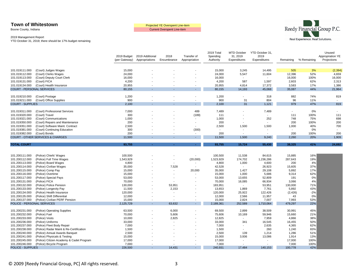Boone County, Indiana

Current Overspent Line-item



#### 2019 Management Report

|                                  |                                              | 2019 Budget      | 2019 Additional | 2018                    | Transfer of    | 2019 Total<br>Spending | MTD October<br>31, 2019  | YTD October 31,<br>2019  |                          |             | Unused<br>Appropriation YE |
|----------------------------------|----------------------------------------------|------------------|-----------------|-------------------------|----------------|------------------------|--------------------------|--------------------------|--------------------------|-------------|----------------------------|
|                                  |                                              | (per Gateway)    | Appropriations  | Encumbrance             | Appropriation  | Authority              | Expenditures             | Expenditures             | Remaining                | % Remaining | Projections                |
|                                  |                                              |                  |                 |                         |                |                        |                          |                          |                          |             |                            |
| 101.019111.000                   | (Court) Judges Wages                         | 15,000           |                 |                         |                | 15,000                 | 3,245                    | 14,495                   | 505                      | 3%          | (2, 394)                   |
| 101.019112.000                   | (Court) Clerks Wages                         | 24,000           |                 |                         |                | 24,000                 | 5,547                    | 11,604                   | 12,396                   | 52%         | 4,659                      |
| 101.019113.000                   | (Court) Deputy Court Clerk                   | 16,000           |                 |                         |                | 16,000                 |                          | $\sim$                   | 16,000                   | 100%        | 16,000                     |
| 101.019131.000                   | (Court) FICA                                 | 4,200            |                 |                         |                | 4,200                  | 587                      | 1,597                    | 2,603                    | 62%         | 2,313                      |
| 101.019134.000                   | (Court) Health Insurance                     | 20,955           |                 |                         |                | 20,955                 | 4,814                    | 17,372                   | 3,583                    | 17%         | 1,386                      |
| <b>COURT - PERSONAL SERVICES</b> |                                              | 80,155           |                 |                         |                | 80,155                 | 14,193                   | 45,068                   | 35,087                   | 44%         | 21,964                     |
| 101.019210.000                   | (Court) Postage                              | 1,200            |                 |                         |                | 1,200                  |                          | 318                      | 882                      | 74%         | 819                        |
| 101.019211.000                   | (Court) Office Supplies                      | 900              |                 | ٠                       |                | 900                    | 31                       | 804                      | 96                       | 11%         | $\sim$                     |
| <b>COURT - SUPPLIES</b>          |                                              | 2,100            |                 |                         | ۰              | 2,100                  | 31                       | 1,121                    | 979                      | 47%         | 819                        |
| 101.019311.000                   | (Court) Professional Services                | 7,000            |                 |                         | 489            | 7,489                  |                          | 7,489                    |                          | 0%          |                            |
| 101.019320.000                   | (Court) Travel                               | 300              |                 |                         | (189)          | 111                    |                          | $\sim$                   | 111                      | 100%        | 111                        |
| 101.019321.000                   | (Court) Communications                       | 1,000            |                 |                         |                | 1,000                  |                          | 252                      | 748                      | 75%         | 698                        |
| 101.019350.000                   | (Court) Repairs and Maintenance              | 200              |                 |                         |                | 200                    |                          | $\sim$                   | 200                      | 100%        | 200                        |
| 101.019351.000                   | (Court) Software Maint. Contract             | 2,500            |                 |                         |                | 2,500                  | 1,500                    | 1,500                    | 1,000                    | 40%         | 700                        |
| 101.019381.000                   | (Court) Continuing Education                 | 300              |                 |                         | (300)          | $\sim$                 |                          | $\blacksquare$           | $\overline{\phantom{a}}$ | 0%          |                            |
| 101.019382.000                   | (Court) Bonds                                | 200              |                 |                         |                | 200                    | $\overline{\phantom{a}}$ | $\sim$                   | 200                      | 100%        | 200                        |
|                                  | <b>COURT - OTHER SERVICES &amp; CHARGES</b>  | 11,500           |                 |                         |                | 11,500                 | 1,500                    | 9,240                    | 2,260                    | 20%         | 1,909                      |
| <b>TOTAL COURT</b>               |                                              | 93,755           |                 |                         | $\sim$         | 93,755                 | 15,724                   | 55,430                   | 38,325                   | 41%         | 24,692                     |
|                                  |                                              |                  |                 |                         |                |                        |                          |                          |                          |             |                            |
|                                  |                                              |                  |                 |                         |                |                        |                          |                          |                          |             |                            |
| 101.200111.000                   | (Police) Chiefs' Wages                       | 100,500          |                 |                         |                | 100,500                | 11,538                   | 84,615                   | 15,885                   | 16%         |                            |
| 101.200112.000                   | (Police) Full Time Wages                     | 1,543,929        |                 | ÷.                      | (20,000)       | 1,523,929              | 174,702                  | 1,236,286                | 287,643                  | 19%         |                            |
| 101.200113.000                   | (Police) Board Wages                         | 4,800            |                 |                         | $\blacksquare$ | 4,800                  | 1,000                    | 4,600                    | 200                      | 4%<br>37%   |                            |
| 101.200114.000<br>101.200115.000 | (Police) Civilian Wages<br>(Police) Comp Pay | 35,000<br>15,000 |                 | 7,528<br>$\blacksquare$ | 20,000         | 42,528<br>35,000       | $\sim$<br>1,427          | 26,923<br>29,108         | 15,605<br>5,892          | 17%         |                            |
| 101.200116.000                   | (Police) Overtime                            | 15,000           |                 | ٠                       |                | 15,000                 | 1,000                    | 5,686                    | 9,314                    | 62%         |                            |
| 101.200117.000                   | (Police) Special Pays                        | 53,000           |                 | $\overline{a}$          |                | 53,000                 | 13,655                   | 52,809                   | 191                      | 0%          |                            |
| 101.200131.000                   | (Police) FICA                                | 70,000           |                 |                         |                | 70,000                 | 16,085                   | 66,934                   | 3,066                    | 4%          |                            |
| 101.200132.000                   | (Police) Police Pension                      | 130,000          |                 | 53,951                  |                | 183,951                | $\sim$                   | 53,951                   | 130,000                  | 71%         |                            |
| 101.200133.000                   | (Police) Longevity Pay                       | 11,500           |                 | 2,153                   |                | 13,653                 | 1,869                    | 7,761                    | 5,892                    | 43%         |                            |
| 101.200134.000                   | (Police) Health Insurance                    | 120,000          |                 | $\blacksquare$          |                | 120,000                | 25,922                   | 122,426                  | (2, 426)                 | $-2%$       |                            |
| 101.200135.000                   | (Police) Shift Differential                  | 12,000           |                 | $\blacksquare$          |                | 12,000                 | 2,566                    | 11,957                   | 43                       | 0%          |                            |
| 101.200137.000                   | (Police) Civilian PERF Pension               | 15,000           |                 |                         |                | 15,000                 | 2,824                    | 7,007                    | 7,993                    | 53%         |                            |
| POLICE - PERSONAL SERVICES       |                                              | 2,125,729        |                 | 63,632                  | $\sim$         | 2,189,361              | 252,589                  | 1,710,064                | 479,297                  | 22%         |                            |
|                                  |                                              |                  |                 |                         |                |                        |                          |                          |                          |             |                            |
| 101.200231.000                   | (Police) Operating Supplies                  | 63,500           |                 | 6,000                   |                | 69,500                 | 2,899                    | 38,509                   | 30,991                   | 45%<br>21%  |                            |
| 101.200232.000<br>101.200233.000 | (Police) Fuel<br>(Police) Vests              | 70,000<br>10,000 |                 | 5,606<br>2,825          |                | 75,606<br>12,825       | 10,169                   | 59,946<br>7,959          | 15,660<br>4,866          | 38%         |                            |
| 101.200236.000                   | (Police) Uniforms                            | 33,000           |                 | $\overline{a}$          |                | 33,000                 | 341                      | 16,545                   | 16,455                   | 50%         |                            |
| 101.200237.000                   | (Police) Fleet Body Repair                   | 7,000            |                 | ٠                       |                | 7,000                  | $\sim$                   | 2,635                    | 4,365                    | 62%         |                            |
| 101.200238.000                   | (Police) Radar Maint & Re-Certification      | 1,500            |                 |                         |                | 1,500                  |                          | 260                      | 1,240                    | 83%         |                            |
| 101.200240.000                   | (Police) Annual Awards Banquet               | 2,500            |                 |                         |                | 2,500                  | 139                      | 1,214                    | 1,286                    | 51%         |                            |
| 101.200241.000                   | (Police) Physicals & Testing                 | 15,000           |                 |                         |                | 15,000                 | 3,936                    | 13,086                   | 1,914                    | 13%         |                            |
| 101.200245.000                   | (Police) Citizen Academy & Cadet Program     | 17,000           |                 |                         |                | 17,000                 | $\overline{\phantom{a}}$ | $\overline{\phantom{a}}$ | 17,000                   | 100%        |                            |
| 101.200246.000                   | (Police) Bicycle Program                     | 7,000            |                 |                         |                | 7,000                  | $\blacksquare$           | $\blacksquare$           | 7,000                    | 100%        |                            |
| POLICE - SUPPLIES                |                                              | 226,500          |                 | 14,431                  | $\sim$         | 240,931                | 17,484                   | 140,153                  | 100,778                  | 42%         |                            |
|                                  |                                              |                  |                 |                         |                |                        |                          |                          |                          |             |                            |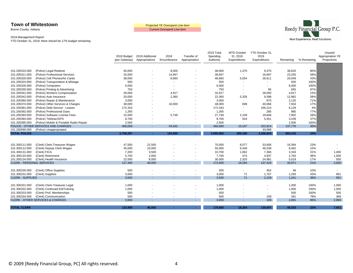Boone County, Indiana

Current Overspent Line-item



#### 2019 Management Report

|                                  |                                             | 2019 Budget<br>(per Gateway) | 2019 Additional<br>Appropriations | 2018<br>Encumbrance      | Transfer of<br>Appropriation | 2019 Total<br>Spending<br>Authority | MTD October<br>31, 2019<br>Expenditures | YTD October 31,<br>2019<br>Expenditures | Remaining | % Remaining | Unused<br>Appropriation YE<br>Projections |
|----------------------------------|---------------------------------------------|------------------------------|-----------------------------------|--------------------------|------------------------------|-------------------------------------|-----------------------------------------|-----------------------------------------|-----------|-------------|-------------------------------------------|
|                                  |                                             |                              |                                   |                          |                              |                                     |                                         |                                         |           |             |                                           |
| 101.200310.000                   | (Police) Legal Retainer                     | 40,000                       |                                   | 8,000                    |                              | 48,000                              | 1,375                                   | 9,375                                   | 38,625    | 80%         |                                           |
| 101.200311.000                   | (Police) Professional Services              | 25,000                       |                                   | 14,947                   |                              | 39,947                              | $\sim$                                  | 16,697                                  | 23,250    | 58%         |                                           |
| 101.200320.000                   | (Police) Cell Phones/Air Cards              | 38,000                       |                                   | 8,660                    |                              | 46,660                              | 5,054                                   | 26,611                                  | 20,049    | 43%         |                                           |
| 101.200324.000                   | (Police) Transportation & Mileage           | 500                          |                                   | ۰                        |                              | 500                                 | $\overline{\phantom{a}}$                |                                         | 500       | 100%        |                                           |
| 101.200326.000                   | (Police) Computers                          | 6,000                        |                                   | $\overline{a}$           |                              | 6,000                               | $\overline{\phantom{a}}$                | $\overline{\phantom{a}}$                | 6,000     | 100%        |                                           |
| 101.200330.000                   | (Police) Printing & Advertising             | 750                          |                                   | ۰                        |                              | 750                                 | $\overline{\phantom{a}}$                | 95                                      | 655       | 87%         |                                           |
| 101.200341.000                   | (Police) Workers Compensation               | 28,000                       |                                   | 4,917                    |                              | 32,917                              | $\sim$                                  | 28,000                                  | 4,917     | 15%         |                                           |
| 101.200342.000                   | (Police) Auto Insurance                     | 20,000                       |                                   | 2,360                    |                              | 22,360                              | 5,326                                   | 9,398                                   | 12,962    | 58%         |                                           |
| 101.200360.000                   | (Police) Repair & Maintenance               | 3,000                        |                                   |                          |                              | 3,000                               |                                         | 875                                     | 2,125     | 71%         |                                           |
| 101.200374.000                   | (Police) Other Services & Charges           | 38,000                       |                                   | 10,000                   |                              | 48,000                              | 699                                     | 40,066                                  | 7,934     | 17%         |                                           |
| 101.200381.000                   | (Police) Debt Service - Leases              | 172,343                      |                                   |                          |                              | 172,343                             |                                         | 166,214                                 | 6,129     | 4%          |                                           |
| 101.200392.000                   | (Police) Professional Dues                  | 1,265                        |                                   | $\blacksquare$           |                              | 1,265                               |                                         | 285                                     | 980       | 77%         |                                           |
| 101.200393.000                   | (Police) Software License Fees              | 22,000                       |                                   | 5,748                    |                              | 27,748                              | 2,109                                   | 19,846                                  | 7,902     | 28%         |                                           |
| 101.200394.000                   | (Police) Teletrac/GPS                       | 8,700                        |                                   | $\overline{\phantom{a}}$ |                              | 8,700                               | 543                                     | 5,451                                   | 3,249     | 37%         |                                           |
| 101.200395.000                   | (Police) Mobile & Portable Radio Repair     | 2,500                        |                                   |                          |                              | 2,500                               | $\overline{\phantom{a}}$                |                                         | 2,500     | 100%        |                                           |
|                                  | POLICE - OTHER SERVICES AND CHARGES         | 406,058                      | $\sim$                            | 54,632                   | $\sim$                       | 460,690                             | 15,107                                  | 322,914                                 | 137,776   | 30%         |                                           |
| 101.200590.000                   | (Police) Unappropriated                     |                              |                                   |                          |                              |                                     | $\sim$                                  | 33,698                                  |           |             |                                           |
| <b>TOTAL POLICE</b>              |                                             | 2,758,287                    |                                   | 132,695                  | $\sim$                       | 2,890,982                           | 285,180                                 | 2,206,829                               | 684,153   | 24%         |                                           |
|                                  |                                             |                              |                                   |                          |                              |                                     |                                         |                                         |           |             |                                           |
|                                  |                                             |                              |                                   |                          |                              |                                     |                                         |                                         |           |             |                                           |
| 101.300111.000                   | (Clerk) Clerk-Treasurer Wages               | 47,500                       | 22,500                            |                          |                              | 70,000                              | 8,077                                   | 53,606                                  | 16,394    | 23%         |                                           |
| 101.300112.000                   | (Clerk) Deputy Clerk Wages                  | 45,000                       | 10,000                            |                          |                              | 55,000                              | 6,346                                   | 46,538                                  | 8,462     | 15%         |                                           |
| 101.300131.000                   | (Clerk) FICA                                | 7,200                        | 3,500                             |                          |                              | 10,700                              | 1,062                                   | 7,366                                   | 3,334     | 31%         | 1,400                                     |
| 101.300133.000                   | (Clerk) Retirement                          | 5,700                        | 2,000                             |                          |                              | 7,700                               | 474                                     | 4,937                                   | 2,763     | 36%         | 1,500                                     |
| 101.300134.000                   | (Clerk) Health Insurance                    | 22,000                       | 8,000                             | $\overline{a}$           | $\overline{\phantom{a}}$     | 30,000                              | 2,325                                   | 24,981                                  | 5,019     | 17%         | 930                                       |
| <b>CLERK - PERSONAL SERVICES</b> |                                             | 127,400                      | 46,000                            |                          |                              | 173,400                             | 18,284                                  | 137,429                                 | 35,971    | 21%         | 3,830                                     |
|                                  |                                             |                              |                                   |                          |                              |                                     |                                         |                                         |           |             |                                           |
| 101.300230.000                   | (Clerk) Office Supplies                     | 500                          |                                   |                          |                              | 500                                 |                                         | 452                                     | 48        | 10%         |                                           |
| 101.300231.000                   | (Clerk) Supplies                            | 3,000                        |                                   | $\blacksquare$           | $\overline{\phantom{a}}$     | 3,000                               | 71                                      | 1,707                                   | 1,293     | 43%         | 951                                       |
| <b>CLERK - SUPPLIES</b>          |                                             | 3,500                        |                                   |                          |                              | 3,500                               | 71                                      | 2,159                                   | 1,341     | 38%         | 951                                       |
|                                  |                                             |                              |                                   |                          |                              |                                     |                                         |                                         |           |             |                                           |
| 101.300331.000                   | (Clerk) Clerk-Treasurer Legal               | 1,000                        |                                   |                          |                              | 1,000                               |                                         |                                         | 1,000     | 100%        | 1,000                                     |
| 101.300332.000                   | (Clerk) Continued Ed/Training               | 1,000                        |                                   |                          |                              | 1,000                               |                                         | $\overline{\phantom{a}}$                | 1,000     | 100%        | 1,000                                     |
| 101.300333.000                   | (Clerk) Prof. Memberships                   | 500                          |                                   |                          |                              | 500                                 |                                         |                                         | 500       | 100%        | 500                                       |
| 101.300334.000                   | (Clerk) Communication                       | 500                          |                                   |                          |                              | 500                                 |                                         | 109                                     | 391       | 78%         | 369                                       |
|                                  | <b>CLERK - OTHER SERVICES &amp; CHARGES</b> | 3,000                        |                                   |                          |                              | 3,000                               |                                         | 109                                     | 2,891     | 96%         | 2,869                                     |
| <b>TOTAL CLERK</b>               |                                             | 133.900                      | 46.000                            |                          |                              | 179,900                             | 18,354                                  | 139,697                                 | 40.203    | 22%         | 7,651                                     |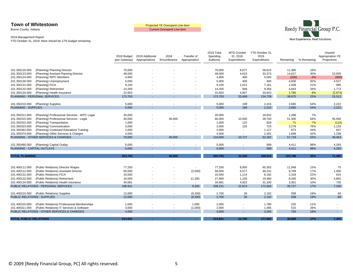Boone County, Indiana

Current Overspent Line-item



#### 2019 Management Report

|                                    |                                              | 2019 Budget<br>(per Gateway) | 2019 Additional<br>Appropriations | 2018<br>Encumbrance      | Transfer of<br>Appropriation | 2019 Total<br>Spending<br>Authority | <b>MTD October</b><br>31, 2019<br>Expenditures | YTD October 31,<br>2019<br>Expenditures | Remaining | % Remaining | Unused<br>Appropriation YE<br>Projections |
|------------------------------------|----------------------------------------------|------------------------------|-----------------------------------|--------------------------|------------------------------|-------------------------------------|------------------------------------------------|-----------------------------------------|-----------|-------------|-------------------------------------------|
|                                    |                                              |                              |                                   |                          |                              |                                     |                                                |                                         |           |             |                                           |
| 101.350120.000                     | (Planning) Planning Director                 | 70,000                       |                                   |                          |                              | 70,000                              | 8,077                                          | 58,615                                  | 11,385    | 16%         |                                           |
| 101.350123.000                     | (Planning) Assitant Planning Director        | 48,000                       |                                   |                          |                              | 48,000                              | 4,615                                          | 33,373                                  | 14,627    | 30%         | 12,000                                    |
| 101.350124.000                     | (Planning) WPC Members                       | 4,800                        |                                   |                          |                              | 4,800                               | 400                                            | 5,000                                   | (200)     | $-4%$       | (900)                                     |
| 101.350130.000                     | (Planning) Unemployment                      | 5,000                        |                                   |                          |                              | 5,000                               | 400                                            | 400                                     | 4,600     | 92%         | 4,527                                     |
| 101.350131.000                     | (Planning) FICA                              | 9,100                        |                                   |                          |                              | 9,100                               | 1,012                                          | 7,161                                   | 1,939     | 21%         | 985                                       |
| 101.350132.000                     | (Planning) Retirement                        | 14,200                       |                                   |                          |                              | 14,200                              | 948                                            | 9,356                                   | 4,844     | 34%         | 1,772                                     |
| 101.350134.000                     | (Planning) Health Insurance                  | 22,603                       |                                   |                          |                              | 22,603                              | 4,957                                          | 20,823                                  | 1,780     | 8%          | (2,873)                                   |
|                                    | <b>PLANNING - PERSONAL SERVICES</b>          | 173,703                      |                                   |                          | $\sim$                       | 173,703                             | 20,409                                         | 134,728                                 | 38,975    | 22%         | 15,512                                    |
|                                    |                                              |                              |                                   |                          |                              |                                     |                                                |                                         |           |             |                                           |
| 101.350210.000                     | (Planning) Supplies                          | 5,000                        |                                   |                          |                              | 5,000                               | 199                                            | 2,315                                   | 2.685     | 54%         | 2.222                                     |
| <b>PLANNING - SUPPLIES</b>         |                                              | 5,000                        |                                   |                          |                              | 5,000                               | 199                                            | 2,315                                   | 2,685     | 54%         | 2,222                                     |
|                                    |                                              |                              |                                   |                          |                              |                                     |                                                |                                         |           |             |                                           |
| 101.350311.000                     | (Planning) Professional Services - WPC Legal | 20,000                       |                                   | $\overline{\phantom{a}}$ |                              | 20,000                              | $\overline{\phantom{a}}$                       | 18,502                                  | 1,498     | 7%          | $\sim$                                    |
| 101.350315.000                     | (Planning) Professional Services - Legal     | 40,000                       |                                   | 40,000                   |                              | 80,000                              | 10,500                                         | 28,700                                  | 51,300    | 64%         | 45,560                                    |
| 101.350322.000                     | (Planning) Transportation                    | 1,000                        |                                   |                          |                              | 1,000                               | 122                                            | 929                                     | 71        | 7%          | (115)                                     |
| 101.350323.000                     | (Planning) Communication                     | 3,000                        |                                   |                          |                              | 3,000                               | 105                                            | 723                                     | 2,278     | 76%         | 2,133                                     |
| 101.350362.000                     | (Planning) Continued Education/ Training     | 2,000                        |                                   |                          |                              | 2,000                               | $\overline{\phantom{a}}$                       | 1,127                                   | 873       | 44%         | 647                                       |
| 101.350374.000                     | (Planning) Other Services & Charges          | 4,000                        |                                   | $\overline{\phantom{a}}$ |                              | 4,000                               | $\overline{\phantom{a}}$                       | 2,301                                   | 1,699     | 42%         | 1,238                                     |
|                                    | PLANNING - OTHER SERVICES & CHARGES          | 70,000                       |                                   | 40,000                   |                              | 110,000                             | 10,727                                         | 52,282                                  | 57,718    | 52%         | 49,463                                    |
|                                    |                                              |                              |                                   |                          |                              |                                     |                                                |                                         |           |             |                                           |
| 101.350490.000                     | (Planning) Capital Outlay                    | 5,000                        |                                   |                          |                              | 5,000                               | $\overline{\phantom{a}}$                       | 589                                     | 4,411     | 88%         | 4,293                                     |
| PLANNING - CAPITAL OUTLAYS         |                                              | 5.000                        |                                   |                          |                              | 5,000                               |                                                | 589                                     | 4,411     | 88%         | 4,293                                     |
|                                    |                                              |                              |                                   |                          |                              |                                     |                                                |                                         |           |             |                                           |
| <b>TOTAL PLANNING</b>              |                                              | 253,703                      |                                   | 40,000                   | $\sim$                       | 293,703                             | 31,335                                         | 189,915                                 | 103,788   | 35%         | 71,490                                    |
|                                    |                                              |                              |                                   |                          |                              |                                     |                                                |                                         |           |             |                                           |
| 101.400111.000                     | (Public Relations) Director Wages            | 77,250                       |                                   |                          |                              | 77,250                              | 8,905                                          | 65,302                                  | 11,948    | 15%         | 75                                        |
| 101.400112.000                     | (Public Relations) Assistant Director        | 60,000                       |                                   |                          | (2,000)                      | 58,000                              | 6,577                                          | 48,231                                  | 9,769     | 17%         | 1,000                                     |
| 101.400131.000                     | (Public Relations) FICA                      | 10,500                       |                                   |                          |                              | 10,500                              | 1,114                                          | 8,182                                   | 2,318     | 22%         | 624                                       |
| 101.400132.000                     | (Public Relations) Retirement                | 16,500                       |                                   |                          | 11,300                       | 27,800                              | 1,156                                          | 19,460                                  | 8,340     | 30%         | 4,802                                     |
| 101.400134.000                     | (Public Relations) Health Insurance          | 34,681                       |                                   |                          | $\overline{\phantom{a}}$     | 34,681                              | 4,923                                          | 31,330                                  | 3,351     | 10%         | 735                                       |
|                                    | PUBLIC RELATIONS - PERSONAL SERVICES         | 198.931                      |                                   |                          | 9,300                        | 208.231                             | 22,674                                         | 172,504                                 | 35.727    | 17%         | 7,236                                     |
|                                    |                                              |                              |                                   |                          |                              |                                     |                                                |                                         |           |             |                                           |
| 101.400210.000                     | (Public Relations) Supplies                  | 12,000                       |                                   | $\overline{\phantom{a}}$ | (9,300)                      | 2,700                               | 26                                             | 2,192                                   | 508       | 19%         | 69                                        |
| <b>PUBLIC RELATIONS - SUPPLIES</b> |                                              | 12,000                       |                                   |                          | (9,300)                      | 2,700                               | 26                                             | 2,192                                   | 508       | 19%         | 69                                        |
|                                    |                                              |                              |                                   |                          |                              |                                     |                                                |                                         |           |             |                                           |
| 101.400310.000                     | (Public Relations) Professional Memberships  | 1,000                        |                                   |                          | 1,000                        | 2,000                               |                                                | 1,780                                   | 220       | 11%         | $\sim$                                    |
| 101.400311.000                     | (Public Relations) IT Services & Software    | 3,000                        |                                   |                          | (1,000)                      | 2,000                               |                                                | 1,485                                   | 515       | 26%         | $\overline{\phantom{a}}$                  |
|                                    | PUBLIC RELATIONS - OTHER SERVICES & CHARGES  | 4.000                        |                                   |                          |                              | 4,000                               |                                                | 3,265                                   | 735       | 18%         | ÷.                                        |
| <b>TOTAL PUBLIC RELATIONS</b>      |                                              | 214,931                      |                                   | ÷.                       | $\sim$                       | 214,931                             | 22,700                                         | 177,962                                 | 36,969    | 17%         | 7,305                                     |
|                                    |                                              |                              |                                   |                          |                              |                                     |                                                |                                         |           |             |                                           |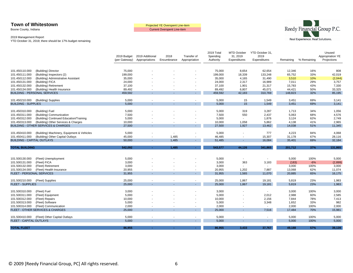Boone County, Indiana

Current Overspent Line-item



#### 2019 Management Report

|                                   |                                                                                       | 2019 Budget   | 2019 Additional | 2018                     | Transfer of      | 2019 Total<br>Spending | <b>MTD October</b><br>31, 2019 | YTD October 31,<br>2019 |           |             | Unused<br>Appropriation YE |
|-----------------------------------|---------------------------------------------------------------------------------------|---------------|-----------------|--------------------------|------------------|------------------------|--------------------------------|-------------------------|-----------|-------------|----------------------------|
|                                   |                                                                                       | (per Gateway) | Appropriations  | Encumbrance              | Appropriation    | Authority              | Expenditures                   | Expenditures            | Remaining | % Remaining | Projections                |
|                                   |                                                                                       |               |                 |                          |                  |                        |                                |                         |           |             |                            |
| 101.450110.000                    | (Building) Director                                                                   | 75,000        |                 |                          |                  | 75,000                 | 8,654                          | 62,654                  | 12,346    | 16%         | 808                        |
| 101.450111.000                    | (Building) Inspectors (2)                                                             | 199,000       |                 |                          |                  | 199,000                | 18,339                         | 133,248                 | 65,752    | 33%         | 42,019                     |
| 101.450112.000                    | (Building) Administrative Assistant                                                   | 35,000        |                 |                          |                  | 35,000                 | 4,165                          | 31,490                  | 3,510     | 10%         | (2,044)                    |
| 101.450131.000                    | (Building) FICA                                                                       | 24,000        |                 |                          |                  | 24,000                 | 2,317                          | 16,989                  | 7,011     | 29%         | 3,757                      |
| 101.450132.000                    | (Building) Retirement                                                                 | 37,100        |                 |                          |                  | 37,100                 | 1,901                          | 21,317                  | 15,783    | 43%         | 7,330                      |
| 101.450134.000                    | (Building) Health Insurance                                                           | 89,492        |                 |                          |                  | 89,492                 | 6,807                          | 45,071                  | 44,421    | 50%         | 33,325                     |
|                                   | <b>BUILDING - PERSONAL SERVICES</b>                                                   | 459,592       |                 |                          |                  | 459,592                | 42,183                         | 310,769                 | 148,823   | 32%         | 85,195                     |
| 101.450210.000                    | (Building) Supplies                                                                   | 5,000         |                 |                          | $\sim$           | 5,000                  | 15                             | 1,549                   | 3,451     | 69%         | 3,141                      |
| <b>BUILDING - SUPPLIES</b>        |                                                                                       | 5,000         |                 |                          |                  | 5,000                  | 15                             | 1,549                   | 3,451     | 69%         | 3,141                      |
|                                   |                                                                                       |               |                 |                          |                  |                        |                                |                         |           |             |                            |
| 101.450310.000                    | (Building) Fuel                                                                       | 5,000         |                 |                          |                  | 5,000                  | 319                            | 3,287                   | 1,713     | 34%         | 1,056                      |
| 101.450311.000                    | (Building) Communication                                                              | 7,500         |                 |                          |                  | 7,500                  | 550<br>$\sim$                  | 2,437                   | 5,063     | 68%         | 4,576                      |
| 101.450312.000                    | (Building) Continued Education/Training                                               | 5,000         |                 |                          |                  | 5,000                  |                                | 1,876                   | 3,124     | 62%         | 2,749<br>2,965             |
| 101.450313.000                    | (Building) Other Services & Charges<br><b>BUILDING - OTHER SERVICES &amp; CHARGES</b> | 10,000        |                 |                          | $\sim$           | 10,000<br>27,500       | 1,058                          | 5,862                   | 4,138     | 41%         |                            |
|                                   |                                                                                       | 27,500        |                 |                          |                  |                        | 1,927                          | 13,462                  | 14,038    | 51%         | 11,345                     |
| 101.450410.000                    | (Building) Machinery, Equipment & Vehicles                                            | 5,000         |                 | $\overline{\phantom{a}}$ |                  | 5,000                  |                                | 777                     | 4,223     | 84%         | 4,068                      |
| 101.450411.000                    | (Building) Other Capital Outlays                                                      | 45,000        |                 | 1,485                    |                  | 46,485                 |                                | 15,307                  | 31,178    | 67%         | 28,116                     |
| <b>BUILDING - CAPITAL OUTLAYS</b> |                                                                                       | 50,000        |                 | 1,485                    | $\sim$           | 51,485                 |                                | 16,084                  | 35,401    | 69%         | 32,184                     |
|                                   |                                                                                       |               |                 | 1,485                    |                  | 543,577                |                                | 341,865                 |           |             | 131,865                    |
| <b>TOTAL BUILDING</b>             |                                                                                       | 542,092       | $\sim$          |                          | $\omega_{\rm c}$ |                        | 44,126                         |                         | 201,712   | 37%         |                            |
|                                   |                                                                                       |               |                 |                          |                  |                        |                                |                         |           |             |                            |
| 101.500130.000                    | (Fleet) Unemployment                                                                  | 5,000         |                 |                          |                  | 5,000                  | $\overline{\phantom{a}}$       | $\sim$                  | 5,000     | 100%        | 5,000                      |
| 101.500131.000                    | (Fleet) FICA                                                                          | 3,000         |                 |                          |                  | 3,000                  | 363                            | 3,183                   | (183)     | $-6%$       | (2,899)                    |
| 101.500132.000                    | (Fleet) Retirement                                                                    | 3,000         |                 |                          |                  | 3,000                  |                                |                         | 3,000     | 100%        | 3,000                      |
| 101.500134.000                    | (Fleet) Health Insurance                                                              | 20,955        |                 |                          |                  | 20,955                 | 1,202                          | 7,887                   | 13,068    | 62%         | 11,074                     |
| FLEET - PERSONAL SERVICES         |                                                                                       | 31,955        |                 |                          |                  | 31,955                 | 1,565                          | 11,070                  | 20,885    | 65%         | 16,175                     |
| 101.500210.000                    | (Fleet) Supplies                                                                      | 25,000        |                 |                          |                  | 25,000                 | 1,867                          | 19,181                  | 5,819     | 23%         | 1,983                      |
| <b>FLEET - SUPPLIES</b>           |                                                                                       | 25,000        |                 |                          |                  | 25,000                 | 1,867                          | 19,181                  | 5.819     | 23%         | 1,983                      |
|                                   |                                                                                       |               |                 |                          |                  |                        |                                |                         |           |             |                            |
| 101.500310.000                    | (Fleet) Fuel                                                                          | 3,000         |                 |                          |                  | 3,000                  |                                | $\sim$                  | 3,000     | 100%        | 3,000                      |
| 101.500311.000                    | (Fleet) Equipment                                                                     | 5,000         |                 |                          |                  | 5,000                  |                                | 2,012                   | 2,988     | 60%         | 2,585                      |
| 101.500312.000                    | (Fleet) Repairs                                                                       | 10,000        |                 |                          |                  | 10,000                 |                                | 2,156                   | 7,844     | 78%         | 7,413                      |
| 101.500313.000                    | (Fleet) Software                                                                      | 5,000         |                 |                          |                  | 5,000                  |                                | 3,348                   | 1,652     | 33%         | 982                        |
| 101.500314.000                    | (Fleet) Communication                                                                 | 2,000         |                 |                          |                  | 2,000                  |                                | $\sim$                  | 2,000     | 100%        | 2,000                      |
|                                   | FLEET - OTHER SERVICES & CHARGES                                                      | 25,000        |                 |                          |                  | 25,000                 |                                | 7,516                   | 17,484    | 70%         | 15,981                     |
| 101.500410.000                    | (Fleet) Other Capital Outlays                                                         | 5,000         |                 |                          |                  | 5,000                  |                                |                         | 5,000     | 100%        | 5,000                      |
| <b>FLEET - CAPITAL OUTLAYS</b>    |                                                                                       | 5,000         |                 |                          | $\sim$           | 5,000                  |                                | $\sim$                  | 5,000     | 100%        | 5,000                      |
|                                   |                                                                                       |               |                 |                          |                  |                        |                                |                         |           |             |                            |
| <b>TOTAL FLEET</b>                |                                                                                       | 86,955        | $\sim$          | $\sim$                   | $\sim 10$        | 86,955                 | 3,433                          | 37,767                  | 49,188    | 57%         | 39,139                     |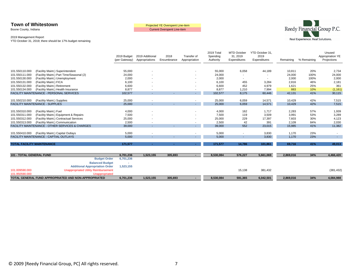Boone County, Indiana

Current Overspent Line-item



#### 2019 Management Report

YTD October 31, 2019; there should be 17% budget remaining

|                                   |                                                 | 2019 Budget<br>(per Gateway) | 2019 Additional<br>Appropriations | 2018<br>Encumbrance | Transfer of<br>Appropriation | 2019 Total<br>Spending<br>Authority | <b>MTD October</b><br>31, 2019<br>Expenditures | YTD October 31,<br>2019<br>Expenditures | Remaining | % Remaining | Unused<br>Appropriation YE<br>Projections |
|-----------------------------------|-------------------------------------------------|------------------------------|-----------------------------------|---------------------|------------------------------|-------------------------------------|------------------------------------------------|-----------------------------------------|-----------|-------------|-------------------------------------------|
|                                   |                                                 |                              |                                   |                     |                              |                                     |                                                |                                         |           |             |                                           |
| 101.550110.000                    | (Facility Maint.) Superintendent                | 55,000                       |                                   |                     |                              | 55,000                              | 6,058                                          | 44,189                                  | 10,811    | 20%         | 2,734                                     |
| 101.550111.000                    | (Facility Maint.) Part Time/Seasonal (2)        | 24,000                       |                                   |                     |                              | 24,000                              |                                                |                                         | 24,000    | 100%        | 24,000                                    |
| 101.550130.000                    | (Facility Maint.) Unemployment                  | 2,000                        |                                   |                     |                              | 2,000                               |                                                |                                         | 2,000     | 100%        | 2,000                                     |
| 101.550131.000                    | (Facility Maint.) FICA                          | 6,100                        |                                   |                     |                              | 6,100                               | 455                                            | 3,284                                   | 2,816     | 46%         | 2,181                                     |
| 101.550132.000                    | (Facility Maint.) Retirement                    | 6,600                        |                                   |                     |                              | 6,600                               | 452                                            | 4,979                                   | 1,621     | 25%         | 361                                       |
| 101.550134.000                    | (Facility Maint.) Health Insurance              | 8,877                        |                                   |                     |                              | 8,877                               | 1,210                                          | 7,994                                   | 883       | 10%         | (1, 161)                                  |
|                                   | <b>FACILITY MAINTENANCE - PERSONAL SERVICES</b> | 102,577                      |                                   | $\sim$              | $\sim$                       | 102,577                             | 8,175                                          | 60,446                                  | 42,131    | 41%         | 30,115                                    |
|                                   |                                                 |                              |                                   |                     |                              |                                     |                                                |                                         |           |             |                                           |
| 101.550210.000                    | (Facility Maint.) Supplies                      | 25,000                       |                                   |                     | $\sim$                       | 25,000                              | 6,059                                          | 14,571                                  | 10,429    | 42%         | 7,515                                     |
|                                   | <b>FACILITY MAINTENANCE - SUPPLIES</b>          | 25,000                       | $\sim$                            | $\sim$              | $\sim 100$                   | 25,000                              | 6,059                                          | 14,571                                  | 10,429    | 42%         | 7,515                                     |
|                                   |                                                 |                              |                                   |                     |                              |                                     |                                                |                                         |           |             |                                           |
| 101.550310.000                    | (Facility Maint.) Fuel                          | 4,000                        |                                   |                     |                              | 4,000                               | 162                                            | 1,717                                   | 2,283     | 57%         | 1,939                                     |
| 101.550311.000                    | (Facility Maint.) Equipment & Repairs           | 7,500                        |                                   |                     |                              | 7,500                               | 119                                            | 3,509                                   | 3,991     | 53%         | 3,289                                     |
| 101.550312.000                    | (Facility Maint.) Contractual Services          | 25,000                       |                                   |                     |                              | 25,000                              | 229                                            | 17,397                                  | 7,603     | 30%         | 4,123                                     |
| 101.550313.000                    | (Facility Maint.) Communication                 | 2,500                        |                                   |                     |                              | 2,500                               | 42                                             | 391                                     | 2,109     | 84%         | 2,030                                     |
|                                   | FACILITY MAINTENANCE - OTHER SERVICES & CHARGES | 39,000                       |                                   |                     |                              | 39,000                              | 552                                            | 23,015                                  | 15,985    | 41%         | 11,382                                    |
|                                   |                                                 |                              |                                   |                     |                              |                                     |                                                |                                         |           |             |                                           |
| 101.550410.000                    | (Facility Maint.) Capital Outlays               | 5,000                        |                                   |                     |                              | 5,000                               |                                                | 3,830                                   | 1,170     | 23%         |                                           |
|                                   | <b>FACILITY MAINTENANCE - CAPTIAL OUTLAYS</b>   | 5,000                        |                                   | $\sim$              |                              | 5,000                               | $\sim$                                         | 3,830                                   | 1,170     | 23%         | $\sim$                                    |
|                                   |                                                 |                              |                                   |                     |                              |                                     |                                                |                                         |           |             |                                           |
| <b>TOTAL FACILITY MAINTENANCE</b> |                                                 | 171.577                      | $\sim$                            | $\sim$              | A.                           | 171,577                             | 14,786                                         | 101,861                                 | 69,716    | 41%         | 49,013                                    |
|                                   |                                                 |                              |                                   |                     |                              |                                     |                                                |                                         |           |             |                                           |
| 101 - TOTAL GENERAL FUND          |                                                 | 6,701,236                    | 1,523,155                         | 305,693             | $\sim$                       | 8,530,084                           | 576,227                                        | 5,661,069                               | 2,869,016 | 34%         | 4,466,420                                 |
|                                   | <b>Budget Order</b>                             | 6,701,236                    |                                   |                     |                              |                                     |                                                |                                         |           |             |                                           |
|                                   | <b>Balanced Budget</b>                          |                              |                                   |                     |                              |                                     |                                                |                                         |           |             |                                           |
|                                   | <b>Additional Appropriation Order</b>           | 1,523,155                    |                                   |                     |                              |                                     |                                                |                                         |           |             |                                           |
| 101.009590.000                    | <b>Unappropriated Utility Reimbursement</b>     |                              |                                   |                     |                              |                                     | 15,138                                         | 381,432                                 |           |             | (381, 432)                                |
| 101 950590 000                    | l Inannronriated                                |                              |                                   |                     |                              |                                     |                                                |                                         |           |             |                                           |

**TOTAL GENERAL FUND APPROPRIATED AND NON-APPROPRIATED 6,701,236 1,523,155 305,693 - 8,530,084 591,365 6,042,501 2,869,016 34% 4,084,988**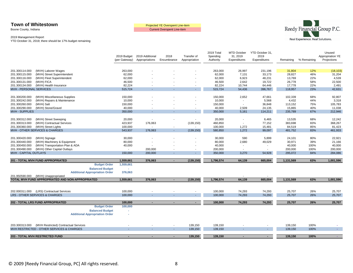Boone County, Indiana

Current Overspent Line-item



#### 2019 Management Report

|                                                         | 2019 Budget   | 2019 Additional | 2018                     | Transfer of              | 2019 Total<br>Spending | <b>MTD October</b><br>31, 2019 | YTD October 31,<br>2019 |           |             | Unused<br>Appropriation YE |
|---------------------------------------------------------|---------------|-----------------|--------------------------|--------------------------|------------------------|--------------------------------|-------------------------|-----------|-------------|----------------------------|
|                                                         | (per Gateway) | Appropriations  | Encumbrance              | Appropriation            | Authority              | Expenditures                   | Expenditures            | Remaining | % Remaining | Projections                |
|                                                         |               |                 |                          |                          |                        |                                |                         |           |             |                            |
| (MVH) Laborer Wages<br>201.300114.000                   | 263,000       |                 |                          |                          | 263,000                | 26,997                         | 231,196                 | 31,804    | 12%         | (18, 103)                  |
| 201.300115.000<br>(MVH) Street Superintendent           | 62,000        |                 |                          |                          | 62,000                 | 7,131                          | 33,173                  | 28,827    | 46%         | 31,204                     |
| 201.300116.000<br>(MVH) Fleet Superintendent            | 62,000        |                 |                          |                          | 62,000                 | 6,923                          | 48,231                  | 13,769    | 22%         | 4,539                      |
| 201.300131.000<br>(MVH) FICA                            | 46,500        |                 |                          |                          | 46,500                 | 2,642                          | 19,722                  | 26,778    | 58%         | 22,500                     |
| 201.300134.000<br>(MVH) Health Insurance                | 82,224        |                 |                          | $\overline{\phantom{a}}$ | 82,224                 | 10,744                         | 64,446                  | 17,778    | 22%         | 2,491                      |
| MVH - PERSONAL SERVICES                                 | 515,724       |                 |                          | $\sim$                   | 515,724                | 54,436                         | 396,767                 | 118,957   | 23%         | 42,631                     |
|                                                         |               |                 |                          |                          |                        |                                |                         |           |             |                            |
| 201.300200.000<br>(MVH) Miscellaneous Supplies          | 150,000       |                 |                          |                          | 150,000                | 2,652                          | 47,661                  | 102,339   | 68%         | 92,807                     |
| 201.300242.000<br>(MVH) Repairs & Maintenance           | 10,000        |                 |                          |                          | 10,000                 | $\overline{\phantom{a}}$       | 5,568                   | 4,432     | 44%         | 3,318                      |
| 201.300260.000<br>(MVH) Salt                            | 150,000       |                 |                          |                          | 150,000                | $\sim$                         | 36,848                  | 113,152   | 75%         | 105,783                    |
| 201.300290.000<br>(MVH) Stone/Gravel                    | 40,000        |                 |                          |                          | 40,000                 | 2,509                          | 24,135                  | 15,865    | 40%         | 11,038                     |
| <b>MVH - SUPPLIES</b>                                   | 350,000       |                 |                          | $\sim$                   | 350,000                | 5,161                          | 114,211                 | 235,789   | 67%         | 212,946                    |
|                                                         |               |                 |                          |                          |                        |                                |                         |           |             |                            |
| 201.300312.000<br>(MVH) Street Sweeping                 | 20,000        |                 |                          |                          | 20,000                 | $\overline{\phantom{a}}$       | 6,465                   | 13,535    | 68%         | 12,242                     |
| 201.300313.000<br>(MVH) Contractual Services            | 423,937       | 176,063         |                          | (139, 150)               | 460,850                |                                | 77,152                  | 383,698   | 83%         | 368,267                    |
| 201.300360.000<br>(MVH) Street Lights                   | 100,000       |                 | $\blacksquare$           |                          | 100,000                | 1,272                          | 15,481                  | 84,519    | 85%         | 81,423                     |
| MVH - OTHER SERVICES & CHARGES                          | 543,937       | 176,063         | $\mathbf{r}$             | (139, 150)               | 580,850                | 1,272                          | 99,097                  | 481,752   | 83%         | 461,933                    |
|                                                         |               |                 |                          |                          |                        |                                |                         |           |             |                            |
| 201.300420.000<br>(MVH) Signage                         | 30,000        |                 |                          |                          | 30,000                 | 590                            | 5,899                   | 24,101    | 80%         | 22,921                     |
| 201.300440.000<br>(MVH) Machinery & Equipment           | 80,000        |                 |                          |                          | 80,000                 | 2,680                          | 49,029                  | 30,971    | 39%         | 21,166                     |
| 201.300450.000<br>(MVH) Transportation Plan & ADA       | 40,000        |                 |                          |                          | 40,000                 |                                | $\sim$                  | 40,000    | 100%        | 40,000                     |
| 201.300490.000<br>(MVH) Other Capital Outlays           | $\sim$        | 200,000         | $\overline{\phantom{a}}$ |                          | 200,000                | $\overline{\phantom{a}}$       | $\sim$                  | 200,000   | 100%        | 200,000                    |
| <b>MVH - CAPITAL OUTLAYS</b>                            | 150,000       | 200,000         | $\sim$                   | $\sim$                   | 350,000                | 3,270                          | 54,928                  | 295,072   | 84%         | 284,086                    |
|                                                         |               |                 |                          |                          |                        |                                |                         |           |             |                            |
| 201 - TOTAL MVH FUND APPROPRIATED                       | 1,559,661     | 376,063         |                          | (139, 150)               | 1,796,574              | 64,139                         | 665,004                 | 1,131,569 | 63%         | 1,001,596                  |
| <b>Budget Order</b>                                     | 1,559,661     |                 |                          |                          |                        |                                |                         |           |             |                            |
| <b>Balanced Budget</b>                                  |               |                 |                          |                          |                        |                                |                         |           |             |                            |
| <b>Additional Appropriation Order</b>                   | 376,063       |                 |                          |                          |                        |                                |                         |           |             |                            |
| 201.950590.000<br>(MVH) Unappropriated                  |               |                 |                          |                          |                        |                                |                         |           |             |                            |
| TOTAL MVH FUND APPROPRIATED AND NON-APPROPRIATED        | 1,559,661     | 376,063         | $\sim$                   | (139, 150)               | 1,796,574              | 64,139                         | 665,004                 | 1,131,569 | 63%         | 1,001,596                  |
|                                                         |               |                 |                          |                          |                        |                                |                         |           |             |                            |
| 202.000311.000<br>(LRS) Contractual Services            | 100,000       |                 |                          | $\sim$                   | 100,000                | 74,293                         | 74,293                  | 25,707    | 26%         | 25,707                     |
| LRS - OTHER SERVICES & CHARGES                          | 100,000       |                 |                          | $\omega_{\rm{eff}}$      | 100,000                | 74,293                         | 74,293                  | 25,707    | 26%         | 25,707                     |
|                                                         |               |                 |                          |                          |                        |                                |                         |           |             |                            |
| 202 - TOTAL LRS FUND APPROPRIATED                       | 100,000       | $\blacksquare$  | ٠                        | $\sim 100$               | 100,000                | 74,293                         | 74,293                  | 25,707    | 26%         | 25,707                     |
| <b>Budget Order</b>                                     | 100,000       |                 |                          |                          |                        |                                |                         |           |             |                            |
| <b>Balanced Budget</b>                                  | $\sim$        |                 |                          |                          |                        |                                |                         |           |             |                            |
| <b>Additional Appropriation Order</b>                   | ٠             |                 |                          |                          |                        |                                |                         |           |             |                            |
|                                                         |               |                 |                          |                          |                        |                                |                         |           |             |                            |
|                                                         |               |                 |                          |                          |                        |                                |                         |           |             |                            |
| (MVH Restricted) Contractual Services<br>203.300313.000 |               |                 |                          | 139,150                  | 139,150                |                                |                         | 139,150   | 100%        |                            |
| MVH RESTRICTED - OTHER SERVICES & CHARGES               |               |                 |                          | 139,150                  | 139,150                |                                |                         | 139,150   | 100%        |                            |
|                                                         |               |                 |                          |                          |                        |                                |                         |           |             |                            |
| 203 - TOTAL MVH RESTRICTED FUND                         |               |                 |                          | 139,150                  | 139,150                |                                |                         | 139,150   | 100%        | A.                         |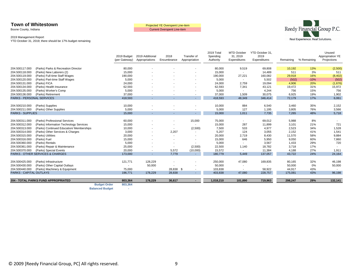Boone County, Indiana

Current Overspent Line-item



#### 2019 Management Report

YTD October 31, 2019; there should be 17% budget remaining

|                                  |                                             | 2019 Budget<br>(per Gateway)   | 2019 Additional<br>Appropriations | 2018<br>Encumbrance      | Transfer of<br>Appropriation | 2019 Total<br>Spending<br>Authority | <b>MTD October</b><br>31, 2019<br>Expenditures | YTD October 31,<br>2019<br>Expenditures | Remaining | % Remaining | Unused<br>Appropriation YE<br>Projections |
|----------------------------------|---------------------------------------------|--------------------------------|-----------------------------------|--------------------------|------------------------------|-------------------------------------|------------------------------------------------|-----------------------------------------|-----------|-------------|-------------------------------------------|
| 204.500117.000                   | (Parks) Parks & Recreation Director         | 80,000                         |                                   |                          |                              | 80,000                              | 9,519                                          | 69,808                                  | 10,192    | 13%         | (2,500)                                   |
| 204.500118.000                   | (Parks) New Laborers (2)                    | 15,000                         |                                   |                          |                              | 15,000                              | $\blacksquare$                                 | 14,489                                  | 511       | 3%          | 511                                       |
| 204.500119.000                   | (Parks) Full-time Staff Wages               | 190,000                        |                                   |                          |                              | 190,000                             | 27,221                                         | 160,082                                 | 29,918    | 16%         | (8, 402)                                  |
| 204.500120.000                   | (Parks) Part-time Staff Wages               | 5,000                          |                                   |                          |                              | 5,000                               | $\overline{\phantom{a}}$                       | 5,502                                   | (502)     | $-10%$      | (502)                                     |
| 204.500131.000                   | (Parks) FICA                                | 24,000                         |                                   |                          |                              | 24,000                              | 2,759                                          | 19,094                                  | 4,906     | 20%         | (1,676)                                   |
| 204.500134.000                   | (Parks) Health Insurance                    | 62,593                         |                                   |                          |                              | 62,593                              | 7,341                                          | 43,121                                  | 19,472    | 31%         | 15,972                                    |
| 204.500135.000                   | (Parks) Worker's Comp                       | 5,000                          |                                   |                          |                              | 5,000                               | $\sim$                                         | 4,244                                   | 756       | 15%         | 756                                       |
| 204.500136.000                   | (Parks) Retirement                          | 37,000                         |                                   |                          |                              | 37,000                              | 1,509                                          | 30,075                                  | 6,925     | 19%         | 1,902                                     |
| <b>PARKS - PERSONAL SERVICES</b> |                                             | 418,593                        |                                   |                          | $\sim$                       | 418,593                             | 48,349                                         | 346,414                                 | 72,179    | 17%         | 6,061                                     |
|                                  |                                             |                                |                                   |                          |                              |                                     |                                                |                                         |           |             |                                           |
| 204.500210.000                   | (Parks) Supplies                            | 10,000                         |                                   |                          |                              | 10,000                              | 884                                            | 6,540                                   | 3,460     | 35%         | 2,152                                     |
| 204.500211.000                   | (Parks) Other Supplies                      | 5,000                          |                                   |                          | $\overline{\phantom{a}}$     | 5,000                               | 127                                            | 1,195                                   | 3,805     | 76%         | 3,566                                     |
| <b>PARKS - SUPPLIES</b>          |                                             | 15,000                         |                                   |                          | н.                           | 15,000                              | 1,011                                          | 7,735                                   | 7,265     | 48%         | 5,718                                     |
|                                  |                                             |                                |                                   |                          |                              |                                     |                                                |                                         |           |             |                                           |
| 204.500311.000                   | (Parks) Professional Services               | 60,000                         |                                   |                          | 15,000                       | 75,000                              | $\overline{\phantom{a}}$                       | 69,012                                  | 5,988     | 8%          |                                           |
| 204.500312.000                   | (Parks) Information Technology Services     | 15,000                         |                                   |                          |                              | 15,000                              | 287                                            | 11.899                                  | 3,101     | 21%         | 721                                       |
| 204.500313.000                   | (Parks) Continued Education/ Memberships    | 10,000                         |                                   | $\overline{\phantom{a}}$ | (2,500)                      | 7,500                               | 533                                            | 4,977                                   | 2,523     | 34%         | 1,528                                     |
| 204.500314.000                   | (Parks) Other Services & Charges            | 3,000                          |                                   | 2,207                    |                              | 5,207                               | 124                                            | 3,055                                   | 2,152     | 41%         | 1,541                                     |
| 204.500315.000                   | (Parks) Utilities                           | 20,000                         |                                   | $\sim$                   |                              | 20,000                              | 2,719                                          | 8,430                                   | 11,570    | 58%         | 9,884                                     |
| 204.500316.000                   | (Parks) Fuel                                | 15,000                         |                                   |                          |                              | 15,000                              | 646                                            | 5,950                                   | 9,050     | 60%         | 7,860                                     |
| 204.500360.000                   | (Parks) Rentals                             | 5,000                          |                                   |                          |                              | 5,000                               | $\sim$                                         | 3,567                                   | 1,433     | 29%         | 720                                       |
| 204.500361.000                   | (Parks) Repair & Maintenance                | 25,000                         |                                   |                          | (2,500)                      | 22,500                              | 1,140                                          | 18,782                                  | 3,718     | 17%         |                                           |
| 204.500370.000                   | (Parks) Special Events                      | 20,000                         |                                   | 5,572                    | (10,000)                     | 15,572                              | $\sim$                                         | 11,384                                  | 4,188     | 27%         | 1,911                                     |
|                                  | <b>PARKS - OTHER SERVICES &amp; CHARGES</b> | 173,000                        | $\sim$                            | 7,779                    | $\sim$                       | 180,779                             | 5,449                                          | 137,057                                 | 43,722    | 24%         | 24,164                                    |
|                                  |                                             |                                |                                   |                          |                              |                                     |                                                |                                         |           |             |                                           |
| 204.500425.000                   | (Parks) Infrastructure                      | 121,771                        | 128,229                           |                          |                              | 250,000                             | 47,080                                         | 169,835                                 | 80,165    | 32%         | 46,198                                    |
| 204.500430.000                   | (Parks) Other Capital Outlays               |                                | 50,000                            |                          |                              | 50,000                              |                                                |                                         | 50,000    | 0%          | 50,000                                    |
| 204.500440.000                   | (Parks) Machinery & Equipment               | 75,000                         |                                   | 28,838 \$                |                              | 103,838                             |                                                | 58,922                                  | 44,917    | 43%         |                                           |
| <b>PARKS - CAPITAL OUTLAYS</b>   |                                             | 196,771                        | 178,229                           | 28,838                   | $\sim$                       | 403,838                             | 47,080                                         | 228,757                                 | 175,081   | 43%         | 96,198                                    |
|                                  |                                             |                                |                                   |                          |                              |                                     |                                                |                                         |           |             |                                           |
|                                  | <b>204 - TOTAL PARKS FUND APPROPRIATED</b>  | 803,364                        | 178.229                           | 36,617                   | $\sim$                       | 1,018,210                           | 101,890                                        | 719,963                                 | 298,247   | 29%         | 132,141                                   |
|                                  |                                             | 803,364<br><b>Budget Order</b> |                                   |                          |                              |                                     |                                                |                                         |           |             |                                           |

**Balanced Budget -**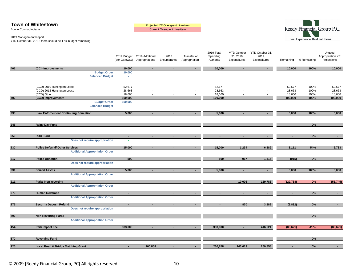| <b>Town of Whitestown</b> | Projected YE Overspent Line-item   |
|---------------------------|------------------------------------|
| Boone County, Indiana     | <b>Current Overspent Line-item</b> |



2019 Management Report

|     |                                                                                 | (per Gateway)            | 2019 Budget 2019 Additional<br>Appropriations | 2018<br>Encumbrance | Transfer of<br>Appropriation | 2019 Total<br>Spending<br>Authority | MTD October<br>31, 2019<br>Expenditures | YTD October 31,<br>2019<br>Expenditures | Remaining        | % Remaining  | Unused<br>Appropriation YE<br>Projections |
|-----|---------------------------------------------------------------------------------|--------------------------|-----------------------------------------------|---------------------|------------------------------|-------------------------------------|-----------------------------------------|-----------------------------------------|------------------|--------------|-------------------------------------------|
| 401 | (CCI) Improvements                                                              | 10,000                   | $\sim$                                        | $\sim$              | $\sim$                       | 10,000                              | $\sim$                                  | $\sim 10$                               | 10,000           | 100%         | 10,000                                    |
|     | <b>Budget Order</b><br><b>Balanced Budget</b>                                   | 10,000<br>$\sim$         |                                               |                     |                              |                                     |                                         |                                         |                  |              |                                           |
|     | (CCD) 2010 Huntington Lease<br>(CCD) 2012 Huntington Lease                      | 52,677<br>28,663         |                                               |                     |                              | 52,677<br>28,663                    |                                         |                                         | 52,677<br>28,663 | 100%<br>100% | 52,677<br>28,663                          |
|     | (CCD) Other                                                                     | 18,660                   |                                               |                     | $\overline{\phantom{a}}$     | 18,660                              |                                         | $\overline{\phantom{a}}$                | 18,660           | 100%         | 18,660                                    |
| 402 | (CCD) Improvements<br><b>Budget Order</b><br><b>Balanced Budget</b>             | 100,000<br>100,000<br>×, | $\overline{\phantom{a}}$                      | п.                  | $\sim$                       | 100,000                             | $\blacksquare$                          | $\sim$                                  | 100,000          | 100%         | 100,000                                   |
| 233 | <b>Law Enforcement Continuing Education</b>                                     | 5,000                    | $\blacksquare$                                | $\sim$              | $\sim$                       | 5,000                               | $\sim$                                  | $\sim 10$                               | 5,000            | 100%         | 5,000                                     |
| 245 | <b>Rainy Day Fund</b>                                                           | $\sim$                   | $\blacksquare$                                | $\sim$              | $\overline{\phantom{a}}$     | $\blacksquare$                      | $\blacksquare$                          | $\blacksquare$                          | ٠                | 0%           | $\sim$                                    |
|     |                                                                                 |                          |                                               |                     |                              |                                     |                                         |                                         |                  |              |                                           |
| 650 | <b>RDC Fund</b><br>Does not require appropriation                               | $\blacksquare$           | $\blacksquare$                                | $\blacksquare$      | $\sim$                       | $\sim$                              | $\blacksquare$                          | $\sim$                                  | $\blacksquare$   | $0\%$        | $\sim 100$                                |
| 230 | <b>Police Deferral/ Other Services</b><br><b>Additional Appropriation Order</b> | 15,000                   | $\sim$                                        | $\sim$              | $\sim$                       | 15,000                              | 1,234                                   | 6,889                                   | 8,111            | 54%          | 6,733                                     |
| 217 | <b>Police Donation</b><br>Does not require appropriation                        | 500                      | $\sim$                                        | $\sim$              | $\sim 100$                   | 500                                 | 917                                     | 1,415                                   | (915)            | 0%           | $\sim$ 10 $\pm$                           |
| 231 | <b>Seized Assets</b>                                                            | 5,000                    |                                               |                     | $\overline{\phantom{a}}$     | 5,000                               | $\overline{\phantom{a}}$                | $\sim$                                  | 5,000            | 100%         | 5,000                                     |
| 211 | <b>Additional Appropriation Order</b><br><b>Parks Non-reverting</b>             | $\sim$                   | $\blacksquare$                                |                     | $\overline{\phantom{a}}$     | $\blacksquare$                      | 10,006                                  | 129,788                                 | (129, 788)       | $0\%$        | (155, 745)                                |
|     | <b>Additional Appropriation Order</b>                                           |                          |                                               |                     |                              |                                     |                                         |                                         |                  |              |                                           |
| 273 | <b>Human Relations</b><br><b>Additional Appropriation Order</b>                 | $\sim$                   |                                               | $\sim$              | $\sim$                       | $\blacksquare$                      | $\blacksquare$                          | $\sim$                                  | $\sim$           | 0%           | $\sim 100$                                |
| 275 | <b>Security Deposit Refund</b><br>Does not require appropriation                | $\blacksquare$           | $\sim$                                        | $\blacksquare$      | $\sim$                       | $\sim$                              | 870                                     | 3,882                                   | (3,882)          | 0%           | $\sim$                                    |
| 403 | <b>Non-Reverting Parks</b>                                                      | $\blacksquare$           | $\blacksquare$                                | $\blacksquare$      | $\sim$                       | $\blacksquare$                      | $\blacksquare$                          | $\sim$                                  | $\blacksquare$   | 0%           | $\sim$ 10 $\pm$                           |
|     | <b>Additional Appropriation Order</b>                                           |                          |                                               |                     |                              |                                     |                                         |                                         |                  |              |                                           |
| 454 | Park Impact Fee                                                                 | 333,000                  | $\sim$                                        | ٠                   | $\sim$                       | 333,000                             | $\sim$                                  | 416,621                                 | (83, 621)        | $-25%$       | (83, 621)                                 |
| 670 | <b>Revolving Fund</b>                                                           | $\sim$                   | $\sim$                                        | $\sim$              | $\sim$                       | $\sim$                              | $\sim$                                  | $\sim$                                  | $\sim$           | $0\%$        | $\sim 100$                                |
| 925 | <b>Local Road &amp; Bridge Matching Grant</b>                                   | $\sim$                   | 260,858                                       | $\blacksquare$      | $\sim 10$                    | 260,858                             | 143,613                                 | 260,858                                 | $\blacksquare$   | $0\%$        | $\sim 100$                                |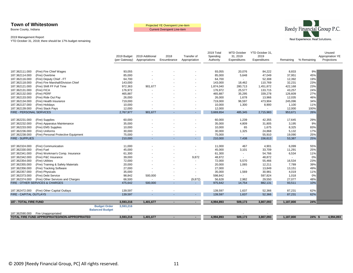Boone County, Indiana

Current Overspent Line-item



#### 2019 Management Report

|                                  |                                                          |                                               | 2019 Budget<br>(per Gateway) | 2019 Additional<br>Appropriations | 2018<br>Encumbrance | Transfer of<br>Appropriation | 2019 Total<br>Spending<br>Authority | MTD October<br>31, 2019<br>Expenditures | YTD October 31,<br>2019<br>Expenditures | Remaining       | % Remaining | Unused<br>Appropriation YE<br>Projections |
|----------------------------------|----------------------------------------------------------|-----------------------------------------------|------------------------------|-----------------------------------|---------------------|------------------------------|-------------------------------------|-----------------------------------------|-----------------------------------------|-----------------|-------------|-------------------------------------------|
| 187.362111.000                   | (Fire) Fire Chief Wages                                  |                                               | 93,055                       |                                   |                     |                              | 93,055                              | 20,076                                  | 84,222                                  | 8,833           | 9%          |                                           |
| 187.362114.000                   | (Fire) Overtime                                          |                                               | 85,000                       |                                   |                     |                              | 85,000                              | 5,648                                   | 47,049                                  | 37,951          | 45%         |                                           |
| 187.362116.000                   | (Fire) Deputy Chief - FT                                 |                                               | 64,700                       |                                   |                     |                              | 64,700                              | $\overline{\phantom{0}}$                | 52,308                                  | 12,392          | 19%         |                                           |
| 187.362118.000                   | (Fire) Fire Marshall/Division Chief                      |                                               | 143,000                      |                                   |                     |                              | 143,000                             | 18,462                                  | 110,769                                 | 32,231          | 23%         |                                           |
| 187.362121.000                   | (Fire) Shift FF Full Time                                |                                               | 972,363                      | 901,677                           |                     |                              | 1,874,040                           | 280,713                                 | 1,451,872                               | 422,168         | 23%         |                                           |
| 187.362131.000                   | (Fire) FICA                                              |                                               | 176,972                      |                                   |                     |                              | 176,972                             | 25,577                                  | 133,715                                 | 43,257          | 24%         |                                           |
| 187.362132.000                   | (Fire) PERF                                              |                                               | 465,887                      |                                   |                     |                              | 465,887                             | 35,295                                  | 339,278                                 | 126,609         | 27%         |                                           |
| 187.362133.000                   | (Fire) Ride Out Pay                                      |                                               | 26,000                       |                                   |                     |                              | 26,000                              | 1,678                                   | 13,966                                  | 12,035          | 46%         |                                           |
| 187.362134.000                   | (Fire) Health Insurance                                  |                                               | 719,000                      |                                   |                     |                              | 719,000                             | 96,597                                  | 473,904                                 | 245,096         | 34%         |                                           |
| 187.362137.000                   | (Fire) Holidays                                          |                                               | 10,000                       |                                   |                     |                              | 10,000                              | 1,300                                   | 8,900                                   | 1,100           | 11%         |                                           |
| 187.362139.000                   | (Fire) Stack Pays                                        |                                               | 12,000                       |                                   |                     | $\blacksquare$               | 12,000                              | $\overline{\phantom{a}}$                |                                         | 12,000          | 100%        |                                           |
| FIRE - PERSONAL SERVICES         |                                                          |                                               | 2.767.977                    | 901.677                           |                     |                              | 3,669,654                           | 485,345                                 | 2,715,983                               | 953,671         | 26%         |                                           |
|                                  |                                                          |                                               |                              |                                   |                     |                              |                                     |                                         |                                         |                 |             |                                           |
| 187.362231.000                   | (Fire) Supplies                                          |                                               | 60,000                       |                                   |                     |                              | 60,000                              | 1,239                                   | 42,355                                  | 17,645          | 29%         |                                           |
| 187.362232.000                   | (Fire) Apparatus Maintenance                             |                                               | 35,000                       |                                   |                     |                              | 35,000                              | 4,809                                   | 31,805                                  | 3,195           | 9%          |                                           |
| 187.362233.000                   | (Fire) EMS Supplies                                      |                                               | 10,000                       |                                   |                     |                              | 10,000                              | 65                                      | 1,675                                   | 8,325           | 83%         |                                           |
| 187.362236.000                   | (Fire) Uniforms                                          |                                               | 30,000                       |                                   |                     |                              | 30,000                              | 1,325                                   | 24,868                                  | 5,132           | 17%         |                                           |
| 187.362238.000                   | (Fire) Personal Protective Equipment                     |                                               | 75,000                       |                                   |                     | $\blacksquare$               | 75,000                              | $\sim$                                  | 55,910                                  | 19,090          | 25%         |                                           |
| <b>FIRE - SUPPLIES</b>           |                                                          |                                               | 210,000                      |                                   |                     |                              | 210,000                             | 7,438                                   | 156,613                                 | 53,387          | 25%         |                                           |
|                                  |                                                          |                                               |                              |                                   |                     |                              |                                     |                                         |                                         |                 |             |                                           |
| 187.362324.000                   | (Fire) Communication                                     |                                               | 11,000                       |                                   |                     |                              | 11,000                              | 467                                     | 4,901                                   | 6,099           | 55%         |                                           |
| 187.362330.000                   | (Fire) Fuel                                              |                                               | 45,000                       |                                   |                     |                              | 45,000                              | 3,101                                   | 33,709                                  | 11,291          | 25%         |                                           |
| 187.362341.000                   | (Fire) Workman's Comp. Insurance                         |                                               | 61,300                       |                                   |                     |                              | 61,300                              | $\overline{\phantom{a}}$                | 54,766                                  | 6,534           | 11%         |                                           |
| 187.362342.000                   | (Fire) P&C Insurance                                     |                                               | 39,000                       |                                   |                     | 9,872                        | 48,872                              | $\sim$                                  | 48,872                                  |                 | 0%          |                                           |
| 187.362354.000                   | (Fire) Utilities                                         |                                               | 72,000                       |                                   |                     |                              | 72,000                              | 5,570                                   | 55,466                                  | 16,534          | 23%         |                                           |
| 187.362355.000                   | (Fire) Training & Safety Materials                       |                                               | 20,000                       |                                   |                     |                              | 20,000                              | 1,065                                   | 12,211                                  | 7,789           | 39%         |                                           |
| 187.362356.000                   | (Fire) Tracking Software                                 |                                               | 27,000                       |                                   |                     |                              | 27,000                              | $\sim$                                  | 13,849                                  | 13,151          | 49%         |                                           |
| 187.362357.000<br>187.362373.000 | (Fire) Physicals                                         |                                               | 35,000                       |                                   |                     |                              | 35,000<br>598,842                   | 1,569<br>$\mathbf{r}$                   | 30,981<br>597,824                       | 4,019           | 11%<br>0%   |                                           |
| 187.362374.000                   | (Fire) Debt Service<br>(Fire) Other Services and Charges |                                               | 98,842<br>66,500             | 500,000                           |                     |                              | 56,628                              | 2,982                                   | 29,550                                  | 1,018<br>27,077 | 48%         |                                           |
|                                  | FIRE - OTHER SERVICES & CHARGES                          |                                               | 475,642                      | 500,000                           |                     | (9, 872)                     | 975,642                             | 14,754                                  | 882,131                                 | 93,511          | 10%         |                                           |
|                                  |                                                          |                                               |                              |                                   |                     |                              |                                     |                                         |                                         |                 |             |                                           |
| 187.362472.000                   | (Fire) Other Capital Outlays                             |                                               | 139,597                      |                                   |                     |                              | 139,597                             | 1,637                                   | 52,366                                  | 87,231          | 62%         |                                           |
| FIRE - CAPITAL OUTLAYS           |                                                          |                                               | 139,597                      |                                   |                     |                              | 139,597                             | 1,637                                   | 52,366                                  | 87,231          | 62%         |                                           |
|                                  |                                                          |                                               |                              |                                   |                     |                              |                                     |                                         |                                         |                 |             |                                           |
| <b>187 - TOTAL FIRE FUND</b>     |                                                          |                                               | 3,593,216                    | 1,401,677                         |                     | $\sim$                       | 4,994,893                           | 509,173                                 | 3,807,093                               | 1,187,800       | 24%         |                                           |
| 187.362590.000                   | Fire Unappropriated                                      | <b>Budget Order</b><br><b>Balanced Budget</b> | 3,593,216                    |                                   |                     |                              |                                     |                                         |                                         |                 |             |                                           |
|                                  | TOTAL FIRE FUND APPROPRIATED/NON-APPROPRIATED            |                                               | 3,593,216                    | 1,401,677                         |                     |                              | 4,994,893                           | 509,173                                 | 3,807,093                               | 1,187,800       | $24\%$ \$   | 4,994,893                                 |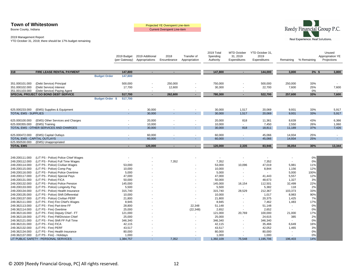Boone County, Indiana

Projected YE Overspent Line-item<br>Current Overspent Line-item



2019 Management Report YTD October 31, 2019; there should be 17% budget remaining

|                                  |                                                                        |                     | 2019 Budget<br>(per Gateway) | 2019 Additional<br>Appropriations | 2018<br>Encumbrance | Transfer of<br>Appropriation       | 2019 Total<br>Spending<br>Authority | MTD October<br>31, 2019<br>Expenditures | YTD October 31,<br>2019<br>Expenditures | Remaining                | % Remaining | Unused<br>Appropriation YE<br>Projections |
|----------------------------------|------------------------------------------------------------------------|---------------------|------------------------------|-----------------------------------|---------------------|------------------------------------|-------------------------------------|-----------------------------------------|-----------------------------------------|--------------------------|-------------|-------------------------------------------|
| 318                              | FIRE LEASE RENTAL PAYMENT                                              |                     | 147,800                      | $\blacksquare$                    | $\blacksquare$      |                                    | 147,800                             | $\sim$                                  | 144,000                                 | 3,800                    | $3%$ \$     | 3,800                                     |
|                                  |                                                                        | <b>Budget Order</b> | 147,800                      |                                   |                     |                                    |                                     |                                         |                                         |                          |             |                                           |
|                                  |                                                                        |                     |                              |                                   |                     |                                    |                                     |                                         |                                         |                          |             |                                           |
| 351.000101.000                   | (Debt Service) Principal                                               |                     | 500,000                      |                                   | 250,000             |                                    | 750,000                             |                                         | 500,000                                 | 250,000                  | 33%         |                                           |
| 351.000102.000                   | (Debt Service) Interest                                                |                     | 17,700                       | $\overline{\phantom{a}}$          | 12,600              |                                    | 30,300                              |                                         | 22,700                                  | 7,600                    | 25%         | 7,600                                     |
| 351.001103.000                   | (Debt Service) Paying Agent                                            |                     |                              |                                   |                     |                                    | $\blacksquare$                      |                                         | $\overline{\phantom{a}}$                |                          | 0%          |                                           |
|                                  | SPECIAL PROJECT GO BOND DEBT SERVICE                                   |                     | 517,700                      |                                   | 262,600             | ٠                                  | 780,300                             |                                         | 522,700                                 | 257,600                  | 33%         | 7,600                                     |
|                                  |                                                                        | Budget Order \$     | 517,700                      |                                   |                     |                                    |                                     |                                         |                                         |                          |             |                                           |
|                                  | 625.000233.000 (EMS) Supplies & Equipment                              |                     |                              | 30,000                            |                     | $\overline{\phantom{a}}$           | 30,000                              | 1,517                                   | 20,069                                  | 9,931                    | 33%         | 5,917                                     |
| <b>TOTAL EMS - SUPPLIES</b>      |                                                                        |                     |                              | 30,000                            |                     | $\sim$                             | 30,000                              | 1,517                                   | 20,069                                  | 9,931                    | 33%         | 5,917                                     |
|                                  |                                                                        |                     |                              |                                   |                     |                                    |                                     |                                         |                                         |                          |             |                                           |
| 625.000100.000                   | (EMS) Other Services and Charges                                       |                     |                              | 20,000                            |                     |                                    | 20,000                              | 818                                     | 11,361                                  | 8,639                    | 43%         | 6,366                                     |
| 625.000355.000                   | (EMS) Training                                                         |                     |                              | 10,000                            |                     |                                    | 10,000                              | $\sim$                                  | 7,450                                   | 2,550                    | 26%         | 1,060                                     |
|                                  | TOTAL EMS - OTHER SERVICES AND CHARGES                                 |                     |                              | 30,000                            | $\sim$              | $\blacksquare$                     | 30,000                              | 818                                     | 18,811                                  | 11,189                   | 37%         | 7,426                                     |
|                                  |                                                                        |                     |                              |                                   |                     |                                    |                                     |                                         |                                         |                          |             |                                           |
|                                  | 625.000472.000 (EMS) Capital Outlays<br>TOTAL EMS - CAPITAL OUTLAYS    |                     |                              | 60,000<br>60,000                  | $\sim$              | $\overline{\phantom{a}}$<br>$\sim$ | 60,000<br>60,000                    | $\overline{\phantom{a}}$<br>÷           | 45,066<br>45,066                        | 14,934<br>14,934         | 25%<br>25%  | ÷.                                        |
| 625.950530.000                   | (EMS) Unappropriated                                                   |                     |                              |                                   |                     |                                    |                                     |                                         |                                         |                          |             |                                           |
| <b>TOTAL EMS</b>                 |                                                                        |                     | $\sim$                       | 120,000                           | $\blacksquare$      | $\sim$                             | 120,000                             | 2,335                                   | 83,946                                  | 36,054                   | 30%         | 13,344                                    |
|                                  |                                                                        |                     |                              |                                   |                     |                                    |                                     |                                         |                                         |                          |             |                                           |
|                                  |                                                                        |                     |                              |                                   |                     |                                    |                                     |                                         |                                         |                          |             |                                           |
| 249.200111.000                   | (LIT PS - Police) Police Chief Wages                                   |                     |                              |                                   |                     |                                    | $\overline{a}$                      |                                         |                                         |                          | 0%          |                                           |
| 249.200112.000                   | (LIT PS - Police) Full Time Wages                                      |                     |                              |                                   | 7,352               |                                    | 7,352                               | $\overline{\phantom{a}}$                | 7,352                                   |                          | 0%          |                                           |
| 249.200114.000                   | (LIT PS - Police) Civilian Wages                                       |                     | 53,000                       |                                   |                     |                                    | 53,000                              | 10,096                                  | 47,019                                  | 5,981                    | 11%         |                                           |
| 249.200115.000                   | (LIT PS - Police) Comp Pay                                             |                     | 10,000                       |                                   |                     |                                    | 10,000                              | $\overline{\phantom{a}}$                | 8,844                                   | 1,156                    | 12%         |                                           |
| 249.200116.000                   | (LIT PS - Police) Police Overtime                                      |                     | 5,000                        |                                   |                     |                                    | 5,000                               |                                         | $\sim$                                  | 5,000                    | 100%        |                                           |
| 249.200117.000                   | (LIT PS - Police) Special Pays                                         |                     | 47,000                       |                                   |                     |                                    | 47,000                              | $\overline{\phantom{a}}$                | 41,443                                  | 5,557                    | 12%         |                                           |
| 249.200131.000                   | (LIT PS - Police) FICA                                                 |                     | 50,000                       |                                   |                     |                                    | 50,000                              |                                         | 48,673                                  | 1,327                    | 3%          |                                           |
| 249.200132.000                   | (LIT PS - Police) Police Pension                                       |                     | 145,000                      |                                   |                     |                                    | 145,000                             | 16,154                                  | 112,501                                 | 32,499                   | 22%         |                                           |
| 249.200133.000                   | (LIT PS - Police) Longevity Pay                                        |                     | 5,500                        |                                   |                     |                                    | 5,500                               | $\overline{\phantom{a}}$                | 5,382                                   | 118                      | 2%          |                                           |
| 249.200134.000                   | (LIT PS - Police) Health Insurance                                     |                     | 315,740                      |                                   |                     |                                    | 315,740                             | 28,529                                  | 212,367                                 | 103,373                  | 33%         |                                           |
| 249.200135.000                   | (LIT PS - Police) Shift Differential                                   |                     | 10,000                       |                                   |                     |                                    | 10,000                              | $\overline{\phantom{a}}$                | 1,017                                   | 8,983                    | 90%         |                                           |
| 249.200137.000                   | (LIT PS - Police) Civilian PERF                                        |                     | 21,800                       |                                   |                     |                                    | 21,800                              | $\blacksquare$                          | 20,375                                  | 1,425                    | 7%          |                                           |
| 249.362111.000                   | (LIT PS - Fire) Fire Chief's Wages                                     |                     | 8,945                        |                                   |                     |                                    | 8,945                               |                                         | 7,462                                   | 1,483                    | 17%         |                                           |
| 249.362113.000                   | (LIT PS - Fire) Part-time FF                                           |                     | 28,800                       |                                   |                     | 22,348                             | 51,148                              |                                         | 51,148                                  |                          | 0%<br>0%    |                                           |
| 249.362114.000                   | (LIT PS - Fire) Overtime                                               |                     | 25,000                       |                                   |                     | (22, 348)<br>$\blacksquare$        | 2,652                               | $\blacksquare$                          | 2,652                                   | $\overline{\phantom{a}}$ |             |                                           |
| 249.362116.000<br>249.362118.000 | (LIT PS - Fire) Deputy Chief - FT<br>(LIT PS - Fire) FM/Division Chief |                     | 121,000<br>25,000            |                                   |                     |                                    | 121,000<br>25,000                   | 20,769<br>$\blacksquare$                | 100,000<br>24,615                       | 21,000<br>385            | 17%<br>2%   |                                           |
| 249.362121.000                   | (LIT PS - Fire) Shift FF Full Time                                     |                     | 346,340                      |                                   |                     |                                    | 346,340                             | $\overline{\phantom{a}}$                | 346,340                                 |                          | 0%          |                                           |
| 249.362131.000                   | (LIT PS - Fire) FICA                                                   |                     | 42,115                       |                                   |                     |                                    | 42,115                              | $\overline{a}$                          | 35,466                                  | 6,649                    | 16%         |                                           |
| 249.362132.000                   | (LIT PS - Fire) PERF                                                   |                     | 43,517                       |                                   |                     |                                    | 43,517                              | $\blacksquare$                          | 42,052                                  | 1,465                    | 3%          |                                           |
| 249.362134.000                   | (LIT PS - Fire) Health Insurance                                       |                     | 80,000                       |                                   |                     |                                    | 80,000                              |                                         | 80,000                                  |                          | 0%          |                                           |
| 249.362137.000                   | (LIT PS - Fire) - Holidays                                             |                     | 1,000                        |                                   |                     |                                    | 1,000                               |                                         | 1,000                                   |                          | 0%          |                                           |
|                                  | LIT PUBLIC SAFETY - PERSONAL SERVICES                                  |                     | 1,384,757                    |                                   | 7,352               | $\sim$                             | 1,392,109                           | 75,548                                  | 1,195,706                               | 196,403                  | 14%         |                                           |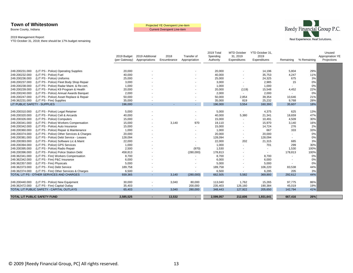Boone County, Indiana

Current Overspent Line-item



#### 2019 Management Report

|                              |                                            | 2019 Budget<br>(per Gateway) | 2019 Additional<br>Appropriations | 2018<br>Encumbrance | Transfer of<br>Appropriation | 2019 Total<br>Spending<br>Authority | <b>MTD October</b><br>31, 2019<br>Expenditures | YTD October 31,<br>2019<br>Expenditures | Remaining                | % Remaining | Unused<br>Appropriation YE<br>Projections |
|------------------------------|--------------------------------------------|------------------------------|-----------------------------------|---------------------|------------------------------|-------------------------------------|------------------------------------------------|-----------------------------------------|--------------------------|-------------|-------------------------------------------|
|                              |                                            |                              |                                   |                     |                              |                                     |                                                |                                         |                          |             |                                           |
| 249.200231.000               | (LIT PS - Police) Operating Supplies       | 20,000                       |                                   |                     |                              | 20,000                              | $\blacksquare$                                 | 14,196                                  | 5,804                    | 29%         |                                           |
| 249.200232.000               | (LIT PS - Police) Fuel                     | 40,000                       |                                   |                     |                              | 40,000                              |                                                | 35,753                                  | 4,247                    | 11%         |                                           |
| 249.200236.000               | (LIT PS - Police) Uniforms                 | 25,000                       |                                   |                     |                              | 25,000                              |                                                | 24,325                                  | 675                      | 3%          |                                           |
| 249.200237.000               | (LIT PS - Police) Fleet Body Shop Repair   | 3,000                        |                                   |                     |                              | 3,000                               |                                                | 2,985                                   | 15                       | 0%          |                                           |
| 249.200238.000               | (LIT PS - Police) Radar Maint. & Re-cert.  | 1,000                        |                                   |                     |                              | 1,000                               |                                                | 1,000                                   |                          | 0%          |                                           |
| 249.200239.000               | (LIT PS - Police) K9 Program & Health      | 20,000                       |                                   |                     |                              | 20,000                              | (119)                                          | 15,548                                  | 4,452                    | 22%         |                                           |
| 249.200240.000               | (LIT PS - Police) Annual Awards Banquet    | 2,000                        |                                   |                     |                              | 2,000                               |                                                | 2,000                                   |                          | 0%          |                                           |
| 249.200247.000               | (LIT PS - Police) Asset Replace & Repair   | 50,000                       |                                   |                     |                              | 50,000                              | 2,854                                          | 39,354                                  | 10,646                   | 21%         |                                           |
| 249.362231.000               | (LIT PS - Fire) Supplies                   | 35,000                       |                                   |                     |                              | 35,000                              | 819                                            | 25,232                                  | 9,768                    | 28%         |                                           |
| LIT PUBLIC SAFETY - SUPPLIES |                                            | 196,000                      |                                   |                     |                              | 196,000                             | 3,554                                          | 160,393                                 | 35,607                   | 18%         |                                           |
|                              |                                            |                              |                                   |                     |                              |                                     |                                                |                                         |                          |             |                                           |
| 249.200310.000               | (LIT PS - Police) Legal Retainer           | 5,000                        |                                   |                     |                              | 5,000                               | $\sim$                                         | 4,375                                   | 625                      | 13%         |                                           |
| 249.200320.000               | (LIT PS - Police) Cell & Aircards          | 40,000                       |                                   |                     |                              | 40,000                              | 5,380                                          | 21,341                                  | 18,659                   | 47%         |                                           |
| 249.200326.000               | (LIT PS - Police) Computers                | 15,000                       |                                   |                     |                              | 15,000                              | $\overline{\phantom{a}}$                       | 10,491                                  | 4,509                    | 30%         |                                           |
| 249.200341.000               | (LIT PS - Police) Workers Compensation     | 15,000                       |                                   | 3,140               | 970                          | 19,110                              | $\overline{\phantom{a}}$                       | 15,970                                  | 3,140                    | 16%         |                                           |
| 249.200342.000               | (LIT PS - Police) Auto Insurance           | 15,000                       |                                   |                     |                              | 15,000                              | $\overline{\phantom{a}}$                       | 14,724                                  | 276                      | 2%          |                                           |
| 249.200360.000               | (LIT PS - Police) Repair & Maintenance     | 1,000                        |                                   |                     |                              | 1,000                               | $\blacksquare$                                 | 667                                     | 333                      | 33%         |                                           |
| 249.200374.000               | (LIT PS - Police) Other Services & Charges | 20,000                       |                                   |                     |                              | 20,000                              | $\overline{\phantom{a}}$                       | 20,000                                  |                          | 0%          |                                           |
| 249.200381.000               | (LIT PS - Police) Debt Service - Leases    | 128,094                      |                                   |                     |                              | 128,094                             | $\overline{\phantom{a}}$                       | 128,094                                 | $\blacksquare$           | 0%          |                                           |
| 249.200393.000               | (LIT PS - Police) Software Lic & Maint     | 22,000                       |                                   |                     |                              | 22,000                              | 202                                            | 21,315                                  | 685                      | 3%          |                                           |
| 249.200394.000               | (LIT PS - Police) GPS Services             | 1,000                        |                                   |                     |                              | 1,000                               | $\overline{\phantom{a}}$                       | 701                                     | 299                      | 30%         |                                           |
| 249.200395.000               | (LIT PS - Police) Radio Repair             | 2,500                        |                                   |                     | (970)                        | 1,530                               |                                                | $\overline{\phantom{a}}$                | 1,530                    | 100%        |                                           |
| 249.200396.000               | (LIT PS - Police) Police Station Debt      | 458,813                      |                                   |                     | (280,000)                    | 178,813                             |                                                |                                         | 178,813                  | 100%        |                                           |
| 249.362341.000               | (LIT PS - Fire) Workers Compensation       | 8,700                        |                                   |                     |                              | 8,700                               |                                                | 8,700                                   |                          | 0%          |                                           |
| 249.362342.000               | (LIT PS - Fire) P&C Insurance              | 6,000                        |                                   |                     |                              | 6,000                               | $\blacksquare$                                 | 6,000                                   | $\overline{\phantom{a}}$ | 0%          |                                           |
| 249.362357.000               | (LIT PS - Fire) Physicals                  | 5,000                        |                                   |                     |                              | 5,000                               | $\overline{\phantom{a}}$                       | 5,000                                   |                          | 0%          |                                           |
| 249.362373.000               | (LIT PS - Fire) Debt Service               | 189,758                      |                                   |                     |                              | 189,758                             | $\overline{\phantom{a}}$                       | 106,220                                 | 83,538                   | 44%         |                                           |
| 249.362374.000               | (LIT PS - Fire) Other Services & Charges   | 6,500                        |                                   |                     | $\overline{\phantom{a}}$     | 6,500                               | $\sim$                                         | 6,295                                   | 205                      | 3%          |                                           |
|                              | TOTAL LIT PS - OTHER SERVICES AND CHARGES  | 939,365                      |                                   | 3.140               | (280,000)                    | 662,505                             | 5,582                                          | 369,893                                 | 292,612                  | 44%         |                                           |
|                              |                                            |                              |                                   |                     |                              |                                     |                                                |                                         |                          |             |                                           |
| 249.200440.000               | (LIT PS - Police) New Equipment            | 30,000                       |                                   | 3,040               | 80,000                       | 113,040                             | 1,762                                          | 15,265                                  | 97,775                   | 86%         |                                           |
| 249.362472.000               | (LIT PS - Fire) Capital Outlay             | 35,403                       |                                   |                     | 200,000                      | 235,403                             | 126,160                                        | 190,384                                 | 45,019                   | 19%         |                                           |
|                              | TOTAL LIT PUBLIC SAFETY - CAPITAL OUTLAYS  | 65,403                       | н.                                | 3.040               | 280,000                      | 348,443                             | 127.922                                        | 205,650                                 | 142,794                  | 41%         |                                           |
|                              |                                            |                              |                                   |                     |                              |                                     |                                                |                                         |                          |             |                                           |
|                              | TOTAL LIT PUBLIC SAFETY FUND               | 2,585,525                    |                                   | 13,532              | $\sim$                       | 2,599,057                           | 212,606                                        | 1,931,641                               | 667,416                  | 26%         |                                           |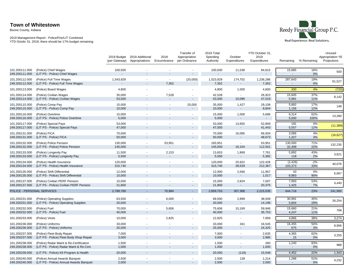Boone County, Indiana



|                                  |                                                                                     | (per Gateway)      | 2019 Budget 2019 Additional<br>Appropriations | 2018<br>Encumbrance   | Transfer of<br>Appropriation<br>per Ordinance | 2019 Total<br>Spending<br>Authority | October<br>Expenditures            | YTD October 31,<br>2019<br>Expenditures | Remaining                | % Remaining  | Unused<br>Appropriation YE<br>Projections |
|----------------------------------|-------------------------------------------------------------------------------------|--------------------|-----------------------------------------------|-----------------------|-----------------------------------------------|-------------------------------------|------------------------------------|-----------------------------------------|--------------------------|--------------|-------------------------------------------|
| 101.200111.000<br>249.200111.000 | (Police) Chief Wages<br>(LIT PS - Police) Chief Wages                               | 100,500            |                                               |                       |                                               | 100,500                             | 11,538<br>$\overline{a}$           | 84,615<br>$\overline{\phantom{a}}$      | 15,885<br>$\overline{a}$ | 16%<br>0%    | 500                                       |
| 101.200112.000<br>249.200112.000 | (Police) Full Time Wages<br>(LIT PS - Police) Full Time Wages                       | 1,543,929          | ٠                                             | 7,352                 | (20,000)                                      | 1,523,929<br>7,352                  | 174,702                            | 1,236,286<br>7,352                      | 287,643                  | 19%<br>0%    | 61,527                                    |
| 101.200113.000                   | (Police) Board Wages                                                                | 4,800              |                                               | $\sim$                |                                               | 4,800                               | 1,000                              | 4,600                                   | 200                      | 4%           | (720)                                     |
| 101.200114.000<br>249.200114.000 | (Police) Civilian Wages<br>(LIT PS - Police) Civilian Wages                         | 35,000<br>53,000   | $\sim$                                        | 7,528                 | $\overline{\phantom{a}}$                      | 42,528<br>53,000                    | 10,096                             | 26,923<br>47,019                        | 15,605<br>5,981          | 37%<br>11%   | 8,142                                     |
| 101.200115.000<br>249.200115.000 | (Police) Comp Pay<br>(LIT PS - Police) Comp Pay                                     | 15,000<br>10,000   |                                               |                       | 20,000                                        | 35,000<br>10,000                    | 1,427                              | 29,108<br>8,844                         | 5,892<br>1,156           | 17%<br>12%   | 148                                       |
| 101.200116.000<br>249.200116.000 | (Police) Overtime<br>(LIT PS - Police) Police Overtime                              | 15,000<br>5,000    |                                               |                       |                                               | 15,000<br>5,000                     | 1,000<br>$\blacksquare$            | 5,686                                   | 9,314<br>5,000           | 62%<br>100%  | 13,280                                    |
| 101.200117.000<br>249.200117.000 | (Police) Special Pays<br>(LIT PS - Police) Special Pays                             | 53,000<br>47,000   | ÷.                                            |                       | $\sim$<br>۰.                                  | 53,000<br>47,000                    | 13,655<br>٠                        | 52,809<br>41,443                        | 191<br>5,557             | 0%<br>12%    | (11, 389)                                 |
| 101.200131.000<br>249.200131.000 | (Police) FICA<br>(LIT PS - Police) FICA                                             | 70,000<br>50,000   | ÷.                                            |                       | $\sim$                                        | 70,000<br>50,000                    | 16,085                             | 66,934<br>48,673                        | 3,066<br>1,327           | 4%<br>3%     | (16, 627)                                 |
| 101.200132.000<br>249.200132.000 | (Police) Police Pension<br>(LIT PS - Police) Police Pension                         | 130,000<br>145,000 | $\tilde{\phantom{a}}$                         | 53,951                | $\mathcal{L}_{\mathcal{A}}$                   | 183,951<br>145,000                  | $\sim$<br>16,154                   | 53,951<br>112,501                       | 130,000<br>32,499        | 71%<br>22%   | 132,235                                   |
| 101.200133.000<br>249.200133.000 | (Police) Longevity Pay<br>(LIT PS - Police) Longevity Pay                           | 11,500<br>5,500    | ÷.<br>ä,                                      | 2,153                 | ÷.<br>$\blacksquare$                          | 13,653<br>5,500                     | 1,869<br>$\sim$                    | 7,761<br>5,382                          | 5,892<br>118             | 43%<br>2%    | 3,621                                     |
| 101.200134.000<br>249.200134.000 | (Police) Health Insurance<br>(LIT PS - Police) Health Insurance                     | 120,000<br>315,740 |                                               |                       |                                               | 120,000<br>315,740                  | 25,922<br>28,529                   | 122,426<br>212,367                      | (2, 426)<br>103,373      | $-2%$<br>33% | 40,076                                    |
| 101.200135.000<br>249.200135.000 | (Police) Shift Differential<br>(LIT PS - Police) Shift Differential                 | 12,000<br>10,000   | ÷.                                            | $\sim$                | $\sim$                                        | 12,000<br>10,000                    | 2,566                              | 11,957<br>1,017                         | 43<br>8,983              | 0%<br>90%    | 6,667                                     |
| 101.200137.000<br>249.200137.000 | (Police) Civilian PERF Pension<br>(LIT PS - Police) Civilian PERF Pension           | 15,000<br>21,800   |                                               |                       | $\overline{\phantom{a}}$                      | 15,000<br>21,800                    | 2,824                              | 7,007<br>20,375                         | 7,993<br>1,425           | 53%<br>7%    | 4,440                                     |
| POLICE - PERSONAL SERVICES       |                                                                                     | 2,788,769          |                                               | 70,984                |                                               | 2,859,753                           | 307,368                            | 2,215,035                               | 644,718                  | 23%          | 241,900                                   |
| 101.200231.000<br>249.200231.000 | (Police) Operating Supplies<br>(LIT PS - Police) Operating Supplies                 | 63,500<br>20,000   | $\sim$<br>ä,                                  | 6,000                 | $\sim$                                        | 69,500<br>20,000                    | 2,899                              | 38,509<br>14,196                        | 30,991<br>5,804          | 45%<br>29%   | 26,254                                    |
| 101.200232.000<br>249.200232.000 | (Police) Fuel<br>(LIT PS - Police) Fuel                                             | 70,000<br>40,000   | $\sim$<br>÷.                                  | 5,606<br>$\mathbf{r}$ | $\blacksquare$                                | 75,606<br>40,000                    | 10,169<br>$\overline{\phantom{a}}$ | 59,946<br>35,753                        | 15,660<br>4,247          | 21%<br>11%   | 768                                       |
| 101.200233.000                   | (Police) Vests                                                                      | 10,000             | ٠                                             | 2,825                 |                                               | 12,825                              | ٠                                  | 7,959                                   | 4,866                    | 38%          | 3,274                                     |
| 101.200236.000<br>249.200236.000 | (Police) Uniforms<br>(LIT PS - Police) Uniforms                                     | 33,000<br>25,000   |                                               |                       |                                               | 33,000<br>25,000                    | 341<br>$\blacksquare$              | 16,545<br>24,325                        | 16,455<br>675            | 50%<br>3%    | 8,956                                     |
| 101.200237.000<br>249.200237.000 | (Police) Fleet Body Repair<br>(LIT PS - Police) Fleet Body Shop Repair              | 7,000<br>3,000     |                                               |                       |                                               | 7,000<br>3,000                      |                                    | 2,635<br>2,985                          | 4,365<br>15              | 62%<br>0%    | 3,255                                     |
| 101.200238.000<br>249.200238.000 | (Police) Radar Maint & Re-Certification<br>(LIT PS - Police) Radar Maint & Re-Cert. | 1,500<br>1,000     | $\sim$                                        |                       | $\blacksquare$                                | 1,500<br>1,000                      | $\blacksquare$                     | 260<br>1,000                            | 1,240                    | 83%<br>0%    | 988                                       |
| 249.200239.000                   | (LIT PS - Police) K9 Program & Health                                               | 20,000             |                                               |                       | $\sim$                                        | 20,000                              | (119)                              | 15,548                                  | 4,452                    | 22%          | 1,343                                     |
| 101.200240.000<br>249.200240.000 | (Police) Annual Awards Banquet<br>(LIT PS - Police) Annual Awards Banquet           | 2,500<br>2,000     |                                               |                       |                                               | 2,500<br>2,000                      | 139                                | 1,214<br>2,000                          | 1,286                    | 51%<br>0%    | 4,232                                     |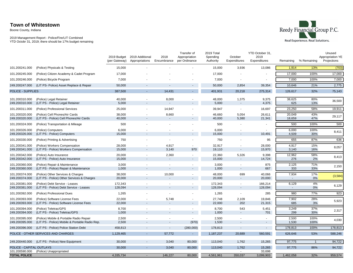Boone County, Indiana



|                                       |                                                                         | 2019 Budget<br>(per Gateway) | 2019 Additional<br>Appropriations | 2018<br>Encumbrance      | Transfer of<br>Appropriation<br>per Ordinance | 2019 Total<br>Spending<br>Authority | October<br>Expenditures  | YTD October 31,<br>2019<br>Expenditures | Remaining      | % Remaining    | Unused<br>Appropriation YE<br>Projections |
|---------------------------------------|-------------------------------------------------------------------------|------------------------------|-----------------------------------|--------------------------|-----------------------------------------------|-------------------------------------|--------------------------|-----------------------------------------|----------------|----------------|-------------------------------------------|
| 101.200241.000                        | (Police) Physicals & Testing                                            | 15,000                       |                                   |                          |                                               | 15,000                              | 3,936                    | 13,086                                  | 1,914          | 13%            | (703)                                     |
| 101.200245.000                        | (Police) Citizen Academy & Cadet Program                                | 17,000                       |                                   |                          |                                               | 17,000                              |                          |                                         | 17,000         | 100%           | 17,000                                    |
| 101.200246.000                        | (Police) Bicycle Program                                                | 7,000                        |                                   |                          |                                               | 7,000                               |                          |                                         | 7,000          | 100%           | 7,000                                     |
| 249.200247.000                        | (LIT PS- Police) Asset Replace & Repair                                 | 50,000                       |                                   |                          |                                               | 50,000                              | 2,854                    | 39,354                                  | 10,646         | 21%            | 2,775                                     |
| POLICE - SUPPLIES                     |                                                                         | 387,500                      | ٠                                 | 14,431                   | $\sim$                                        | 401,931                             | 20,218                   | 275,314                                 | 126,617        | 32%            | 75,143                                    |
| 101.200310.000                        | (Police) Legal Retainer                                                 | 40,000                       | ÷.                                | 8,000                    |                                               | 48,000                              | 1,375                    | 9,375                                   | 38,625         | 80%            | 36,500                                    |
| 249.200310.000                        | (LIT PS - Police) Legal Retainer                                        | 5,000                        |                                   |                          |                                               | 5,000                               |                          | 4,375                                   | 625            | 13%            |                                           |
| 101.200311.000                        | (Police) Professional Services                                          | 25,000                       | $\blacksquare$                    | 14,947                   |                                               | 39,947                              | $\blacksquare$           | 16,697                                  | 23,250         | 58%            | 19,911                                    |
| 101.200320.000                        | (Police) Cell Phones/Air Cards                                          | 38,000                       |                                   | 8,660                    |                                               | 46,660                              | 5,054                    | 26,611                                  | 20,049         | 43%            | 29,117                                    |
| 249.200320.000                        | (LIT PS - Police) Cell Phones/Air Cards                                 | 40,000                       | $\blacksquare$                    | $\sim$                   |                                               | 40,000                              | 5,380                    | 21,341                                  | 18,659         | 47%            |                                           |
| 101.200324.000                        | (Police) Transportation & Mileage                                       | 500                          | ٠                                 |                          |                                               | 500                                 |                          |                                         | 500            | 100%           | 500                                       |
| 101.200326.000<br>249.200326.000      | (Police) Computers<br>(LIT PS - Police) Computers                       | 6,000<br>15,000              | $\overline{\phantom{a}}$          |                          | $\sim$                                        | 6,000<br>15,000                     | $\sim$<br>$\blacksquare$ | 10,491                                  | 6,000<br>4,509 | 100%<br>30%    | 8,411                                     |
| 101.200330.000                        | (Police) Printing & Advertising                                         | 750                          | $\blacksquare$                    | $\sim$                   | $\blacksquare$                                | 750                                 | $\overline{\phantom{a}}$ | 95                                      | 655            | 87%            | 636                                       |
| 101.200341.000                        | (Police) Workers Compensation                                           | 28,000                       | $\blacksquare$                    | 4,917                    | $\blacksquare$                                | 32,917                              | $\blacksquare$           | 28,000                                  | 4,917          | 15%            | 8,057                                     |
| 249.200341.000                        | (LIT PS - Police) Workers Compensation                                  | 15,000                       | ٠                                 | 3,140                    | 970                                           | 19,110                              | $\overline{\phantom{a}}$ | 15,970                                  | 3,140          | 16%            |                                           |
| 101.200342.000                        | (Police) Auto Insurance                                                 | 20,000                       | $\sim$                            | 2,360                    | $\sim$                                        | 22,360                              | 5,326                    | 9,398                                   | 12,962         | 58%            | 8,413                                     |
| 249.200342.000                        | (LIT PS - Police) Auto Insurance                                        | 15,000                       | $\blacksquare$                    |                          | $\overline{\phantom{a}}$                      | 15,000                              |                          | 14,724                                  | 276            | 2%             |                                           |
| 101.200360.000<br>249.200360.000      | (Police) Repair & Maintenance<br>(LIT PS - Police) Repair & Maintenance | 3,000<br>1,000               | $\sim$                            | $\overline{\phantom{a}}$ | $\blacksquare$                                | 3,000<br>1,000                      | $\sim$                   | 875<br>667                              | 2,125<br>333   | 71%<br>33%     | 2,150                                     |
| 101.200374.000                        | (Police) Other Services & Charges                                       | 38,000                       | $\blacksquare$                    | 10,000                   | $\blacksquare$                                | 48,000                              | 699                      | 40,066                                  | 7,934          | 17%            |                                           |
| 249.200374.000                        | (LIT PS - Police) Other Services & Charges                              | 20,000                       | ä,                                |                          |                                               | 20,000                              | $\overline{\phantom{a}}$ | 20,000                                  |                | 0%             | (3,584)                                   |
| 101.200381.000                        | (Police) Debt Service - Leases                                          | 172,343                      | $\sim$                            | $\blacksquare$           | $\blacksquare$                                | 172,343                             | $\sim$                   | 166,214                                 | 6,129          | 4%             | 6,129                                     |
| 249.200381.000                        | (LIT PS - Police) Debt Service - Leases                                 | 128,094                      | $\blacksquare$                    |                          |                                               | 128,094                             | $\overline{\phantom{a}}$ | 128,094                                 |                | 0%             |                                           |
| 101.200392.000                        | (Police) Professional Dues                                              | 1,265                        | ٠                                 | $\overline{\phantom{a}}$ | ä,                                            | 1,265                               | $\overline{\phantom{a}}$ | 285                                     | 980            | 77%            | 923                                       |
| 101.200393.000                        | (Police) Software License Fees                                          | 22,000                       | $\blacksquare$                    | 5,748                    | $\sim$                                        | 27,748                              | 2,109                    | 19,846                                  | 7,902          | 28%            | 5,923                                     |
| 249.200393.000                        | (LIT PS - Police) Software License Fees                                 | 22,000                       | ٠                                 |                          |                                               | 22,000                              | 202                      | 21,315                                  | 685            | 3%             |                                           |
| 101.200394.000                        | (Police) Teletrac/GPS                                                   | 8,700                        | $\sim$                            | $\overline{\phantom{a}}$ | $\blacksquare$                                | 8,700                               | 543                      | 5,451                                   | 3,249          | 37%            | 2,317                                     |
| 249.200394.000                        | (LIT PS - Police) Teletrac/GPS                                          | 1,000                        | $\blacksquare$                    |                          | $\sim$                                        | 1,000                               |                          | 701                                     | 299            | 30%            |                                           |
| 101.200395.000                        | (Police) Mobile & Portable Radio Repair                                 | 2,500                        | ٠<br>$\blacksquare$               | $\overline{\phantom{a}}$ | $\sim$                                        | 2,500                               | ٠<br>$\overline{a}$      | ٠<br>$\overline{a}$                     | 2,500          | 100%           | 4,030                                     |
| 249.200395.000                        | (LIT PS - Police) Mobile & Portable Radio Rep.                          | 2,500                        |                                   |                          | (970)                                         | 1,530                               |                          |                                         | 1,530          | 100%           |                                           |
| 249.200396.000                        | (LIT PS - Police) Police Station Debt                                   | 458,813                      | $\blacksquare$                    | $\sim$                   | (280,000)                                     | 178,813                             | $\overline{\phantom{a}}$ | $\overline{\phantom{a}}$                | 178,813        | 100%           | 178,813                                   |
|                                       | POLICE - OTHER SERVICES AND CHARGES                                     | 1,129,465                    | ÷.                                | 57,772                   | $\sim$                                        | 1,187,237                           | 20,689                   | 560,591                                 | 626,646        | 53%            | 588,246                                   |
| 249.200440.000                        | (LIT PS - Police) New Equipment                                         | 30,000                       |                                   | 3,040                    | 80,000                                        | 113,040                             | 1,762                    | 15,265                                  | 97,775         | $\overline{1}$ | 94,722                                    |
| POLICE - CAPITAL OUTLAYS              |                                                                         | 30,000                       | ٠                                 | 3,040                    | 80,000                                        | 113,040                             | 1,762                    | 15,265                                  | 97,775         | 86%            | 94,722                                    |
| 101.200590.000<br><b>TOTAL POLICE</b> | (Police) Unappropriated                                                 | 4,335,734                    |                                   | 146,227                  | 80,000                                        | 4,561,961                           | 350,037                  | 33,698<br>3,099,903                     | 1,462,058      | 32%            | 959,574                                   |
|                                       |                                                                         |                              |                                   |                          |                                               |                                     |                          |                                         |                |                |                                           |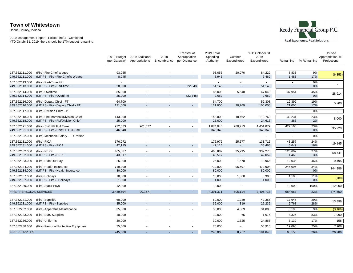Boone County, Indiana



|                                  |                                                                          | 2019 Budget<br>(per Gateway) | 2019 Additional<br>Appropriations | 2018<br>Encumbrance | Transfer of<br>Appropriation<br>per Ordinance | 2019 Total<br>Spending<br>Authority | October<br>Expenditures  | YTD October 31,<br>2019<br>Expenditures | Remaining                                            | % Remaining  | Unused<br>Appropriation YE<br>Projections |
|----------------------------------|--------------------------------------------------------------------------|------------------------------|-----------------------------------|---------------------|-----------------------------------------------|-------------------------------------|--------------------------|-----------------------------------------|------------------------------------------------------|--------------|-------------------------------------------|
| 187.362111.000<br>249.362111.000 | (Fire) Fire Chief Wages<br>(LIT PS - Fire) Fire Chief's Wages            | 93,055<br>8,945              |                                   |                     | $\sim$                                        | 93,055<br>8,945                     | 20,076                   | 84,222<br>7,462                         | 8,833<br>1,483                                       | 9%<br>17%    | (6, 353)                                  |
| 187.362113.000<br>249.362113.000 | (Fire) Part-Time FF<br>(LIT PS - Fire) Part-time FF                      | $\sim$<br>28,800             | $\sim$                            |                     | 22,348                                        | $\sim$<br>51,148                    | $\sim$                   | 51,148                                  | $\overline{\phantom{a}}$<br>$\overline{\phantom{a}}$ | 0%<br>0%     |                                           |
| 187.362114.000<br>249.362114.000 | (Fire) Overtime<br>(LIT PS - Fire) Overtime                              | 85,000<br>25,000             |                                   |                     | $\sim$<br>(22, 348)                           | 85,000<br>2,652                     | 5,648                    | 47,049<br>2,652                         | 37,951<br>$\overline{\phantom{a}}$                   | 45%<br>$0\%$ | 28,914                                    |
| 187.362116.000<br>249.362116.000 | (Fire) Deputy Chief - FT<br>(LIT PS - Fire) Deputy Chief - FT            | 64,700<br>121,000            |                                   |                     | $\overline{\phantom{a}}$                      | 64,700<br>121,000                   | $\sim$<br>20,769         | 52,308<br>100,000                       | 12,392<br>21,000                                     | 19%<br>17%   | 5,700                                     |
| 187.362117.000                   | (Fire) Division Chief - PT                                               | $\sim$                       |                                   |                     |                                               | $\sim$                              |                          |                                         | $\sim$                                               | 0%           | $\sim$                                    |
| 187.362118.000<br>249.362118.000 | (Fire) Fire Marshall/Division Chief<br>(LIT PS - Fire) FM/Division Chief | 143,000<br>25,000            |                                   |                     | $\sim$                                        | 143,000<br>25,000                   | 18,462<br>$\blacksquare$ | 110,769<br>24,615                       | 32,231<br>385                                        | 23%<br>2%    | 8,000                                     |
| 187.362121.000<br>249.362121.000 | (Fire) Shift FF Full Time<br>(LIT PS - Fire) Shift FF Full Time          | 972,363<br>346,340           | 901,677<br>٠                      |                     | $\sim$                                        | 1,874,040<br>346,340                | 280,713                  | 1,451,872<br>346,340                    | 422,168<br>$\overline{\phantom{a}}$                  | 23%<br>0%    | 95,220                                    |
| 187.362122.000                   | (Fire) Mechanic Salary - FD Portion                                      | $\sim$                       |                                   |                     |                                               | $\sim$                              | $\sim$                   |                                         |                                                      | 0%           | $\sim$                                    |
| 187.362131.000<br>249.362131.000 | (Fire) FICA<br>(LIT PS - Fire) FICA                                      | 176,972<br>42,115            |                                   |                     | ۰.                                            | 176,972<br>42,115                   | 25,577<br>$\sim$         | 133,715<br>35,466                       | 43,257<br>6,649                                      | 24%<br>16%   | 19,145                                    |
| 187.362132.000<br>249.362132.000 | (Fire) PERF<br>(LIT PS - Fire) PERF                                      | 465,887<br>43,517            |                                   |                     | $\sim$<br>$\overline{\phantom{a}}$            | 465,887<br>43,517                   | 35,295<br>$\sim$         | 339,278<br>42,052                       | 126,609<br>1,465                                     | 27%<br>3%    | 58,741                                    |
| 187.362133.000                   | (Fire) Ride Out Pay                                                      | 26,000                       |                                   |                     |                                               | 26,000                              | 1,678                    | 13,966                                  | 12,035                                               | 46%          | 9,495                                     |
| 187.362134.000<br>249.362134.000 | (Fire) Health Insurance<br>(LIT PS - Fire) Health Insurance              | 719,000<br>80,000            | $\sim$                            |                     | $\sim$<br>$\sim$                              | 719,000<br>80,000                   | 96,597<br>$\sim$         | 473,904<br>80,000                       | 245,096<br>$\overline{\phantom{a}}$                  | 34%<br>0%    | 144,386                                   |
| 187.362137.000<br>249.362137.000 | (Fire) Holidays<br>(LIT PS - Fire) - Holidays                            | 10,000<br>1,000              | $\sim$                            |                     | $\sim$<br>$\sim$                              | 10,000<br>1,000                     | 1,300                    | 8,900<br>1,000                          | 1,100                                                | 11%<br>0%    | (700)                                     |
| 187.362139.000                   | (Fire) Stack Pays                                                        | 12,000                       | $\sim$                            |                     | $\sim$                                        | 12,000                              | $\blacksquare$           |                                         | 12,000                                               | 100%         | 12,000                                    |
| FIRE - PERSONAL SERVICES         |                                                                          | 3,489,694                    | 901,677                           |                     |                                               | 4,391,371                           | 506,114                  | 3,406,718                               | 984,653                                              | 22%          | 374,550                                   |
| 187.362231.000<br>249.362231.000 | (Fire) Supplies<br>(LIT PS - Fire) Supplies                              | 60,000<br>35,000             | $\sim$                            |                     | $\sim$                                        | 60,000<br>35,000                    | 1,239<br>819             | 42,355<br>25,232                        | 17,645<br>9,768                                      | 29%<br>28%   | 13,896                                    |
| 187.362232.000                   | (Fire) Apparatus Maintenance                                             | 35,000                       |                                   |                     |                                               | 35,000                              | 4,809                    | 31,805                                  | 3,195                                                | 9%           | (3, 166)                                  |
| 187.362233.000                   | (Fire) EMS Supplies                                                      | 10,000                       |                                   |                     |                                               | 10,000                              | 65                       | 1,675                                   | 8,325                                                | 83%          | 7,990                                     |
| 187.362236.000                   | (Fire) Uniforms                                                          | 30,000                       |                                   |                     |                                               | 30,000                              | 1,325                    | 24,868                                  | 5,132                                                | 17%          | 158                                       |
| 187.362238.000                   | (Fire) Personal Protective Equipment                                     | 75,000                       |                                   |                     |                                               | 75,000                              |                          | 55,910                                  | 19,090                                               | 25%          | 7,908                                     |
| <b>FIRE - SUPPLIES</b>           |                                                                          | 245,000                      |                                   |                     |                                               | 245,000                             | 8,257                    | 181,845                                 | 63,155                                               | 26%          | 26,786                                    |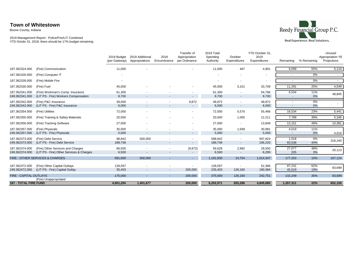Boone County, Indiana



|                                  |                                                                               | 2019 Budget<br>(per Gateway) | 2019 Additional<br>Appropriations   | 2018<br>Encumbrance | Transfer of<br>Appropriation<br>per Ordinance | 2019 Total<br>Spending<br>Authority | October<br>Expenditures           | YTD October 31,<br>2019<br>Expenditures | Remaining                | % Remaining | Unused<br>Appropriation YE<br>Projections |
|----------------------------------|-------------------------------------------------------------------------------|------------------------------|-------------------------------------|---------------------|-----------------------------------------------|-------------------------------------|-----------------------------------|-----------------------------------------|--------------------------|-------------|-------------------------------------------|
| 187.362324.000                   | (Fire) Communication                                                          | 11,000                       |                                     |                     |                                               | 11,000                              | 467                               | 4,901                                   | 6,099                    | 55%         | 5,119                                     |
| 187.362326.000                   | (Fire) Computer IT                                                            |                              |                                     |                     |                                               |                                     |                                   | ٠                                       |                          | 0%          |                                           |
| 187.362328.000                   | (Fire) Mobile Fire                                                            |                              |                                     |                     |                                               | ٠                                   | ٠                                 | ٠                                       | $\sim$                   | 0%          |                                           |
| 187.362330.000                   | (Fire) Fuel                                                                   | 45,000                       |                                     |                     |                                               | 45,000                              | 3,101                             | 33,709                                  | 11,291                   | 25%         | 4,549                                     |
| 187.362341.000<br>249.362341.000 | (Fire) Workman's Comp. Insurance<br>(LIT PS - Fire) Workers Compensation      | 61,300<br>8,700              | ۰                                   |                     | $\sim$<br>$\overline{\phantom{a}}$            | 61,300<br>8,700                     | $\sim$                            | 54,766<br>8,700                         | 6,534                    | 11%<br>0%   | 48,845                                    |
| 187.362342.000<br>249.362342.000 | (Fire) P&C Insurance<br>(LIT PS - Fire) P&C Insurance                         | 39,000<br>6,000              | $\sim$<br>۰.                        |                     | 9,872<br>$\sim$                               | 48.872<br>6,000                     | ٠<br>$\sim$                       | 48,872<br>6,000                         | $\overline{\phantom{a}}$ | 0%<br>0%    |                                           |
| 187.362354.000                   | (Fire) Utilities                                                              | 72,000                       | ٠                                   |                     | $\sim$                                        | 72,000                              | 5,570                             | 55,466                                  | 16,534                   | 23%         | 5,441                                     |
| 187.362355.000                   | (Fire) Training & Safety Materials                                            | 20,000                       |                                     |                     | $\sim$                                        | 20,000                              | 1,065                             | 12,211                                  | 7,789                    | 39%         | 5,346                                     |
| 187.362356.000                   | (Fire) Tracking Software                                                      | 27,000                       |                                     |                     | $\sim$                                        | 27,000                              | $\sim$                            | 13,849                                  | 13,151                   | 49%         | 10,381                                    |
| 187.362357.000<br>249.362357.000 | (Fire) Physicals<br>(LIT PS - Fire) Physicals                                 | 35,000<br>5,000              | $\sim$                              | $\sim$              | ٠<br>$\sim$                                   | 35,000<br>5,000                     | 1,569<br>$\sim$                   | 30,981<br>5,000                         | 4,019<br>$\sim$          | 11%<br>0%   | 4,019                                     |
| 187.362373.000<br>249.362373.000 | (Fire) Debt Service<br>(LIT PS - Fire) Debt Service                           | 98,842<br>189,758            | 500,000<br>$\overline{\phantom{a}}$ |                     | $\sim$<br>$\overline{\phantom{a}}$            | 598,842<br>189,758                  | ٠<br>$\sim$                       | 597,824<br>106,220                      | 1,018<br>83,538          | 0%<br>44%   | 318,240                                   |
| 187.362374.000<br>249.362374.000 | (Fire) Other Services and Charges<br>(LIT PS - Fire) Other Services & Charges | 66,500<br>6,500              | $\sim$<br>۰                         |                     | (9,872)<br>$\blacksquare$                     | 56,628<br>6,500                     | 2,982<br>$\overline{\phantom{a}}$ | 29,550<br>6,295                         | 27,077<br>205            | 48%<br>3%   | 20,113                                    |
|                                  | FIRE - OTHER SERVICES & CHARGES                                               | 691,600                      | 500,000                             |                     | $\sim$                                        | 1,191,600                           | 14,754                            | 1,014,347                               | 177,253                  | 15%         | 167,124                                   |
| 187.362472.000<br>249.362472.000 | (Fire) Other Capital Outlays<br>(LIT PS - Fire) Capital Outlay                | 139,597<br>35,403            | $\sim$                              | $\sim$              | 200,000                                       | 139,597<br>235,403                  | 126,160                           | 52,366<br>190,384                       | 87,231<br>45,019         | 62%<br>19%  | 83,699                                    |
| <b>FIRE - CAPITAL OUTLAYS</b>    | (Fire) Unappropriated                                                         | 175,000                      | $\sim$                              | $\sim$              | 200,000                                       | 375,000                             | 126,160                           | 242,751                                 | 132,249                  | 35%         | 83,699                                    |
| <b>187 - TOTAL FIRE FUND</b>     |                                                                               | 4,601,294                    | 1,401,677                           |                     | 200,000                                       | 6,202,971                           | 655,286                           | 4,845,660                               | 1,357,311                | 22%         | 652,159                                   |